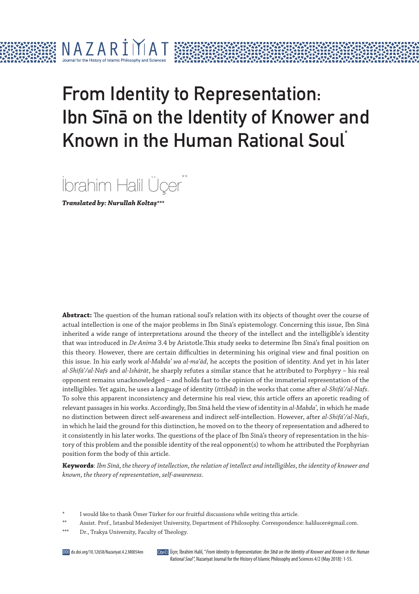# From Identity to Representation: Ibn Sina on the Identity of Knower and Known in the Human Rational Soul<sup>†</sup>



**Translated by: Nurullah Koltaş\*\*\***

 $N$  A Z A R  $\dot{1}$   $\dot{1}$   $\dot{1}$  A T

**Abstract:** The question of the human rational soul's relation with its objects of thought over the course of actual intellection is one of the major problems in Ibn Sīnā's epistemology. Concerning this issue, Ibn Sīnā inherited a wide range of interpretations around the theory of the intellect and the intelligible's identity that was introduced in *De Anima* 3.4 by Aristotle.This study seeks to determine Ibn Sīnā's final position on this theory. However, there are certain difficulties in determining his original view and final position on this issue. In his early work *al-Mabdaʾ wa al-maʿād*, he accepts the position of identity. And yet in his later *al-Shifāʾ/al-Nafs* and *al-Ishārāt*, he sharply refutes a similar stance that he attributed to Porphyry – his real opponent remains unacknowledged – and holds fast to the opinion of the immaterial representation of the intelligibles. Yet again, he uses a language of identity (*ittiḥād*) in the works that come after *al-Shifāʾ/al-Nafs*. To solve this apparent inconsistency and determine his real view, this article offers an aporetic reading of relevant passages in his works. Accordingly, Ibn Sīnā held the view of identity in *al-Mabdaʾ,* in which he made no distinction between direct self-awareness and indirect self-intellection. However, after *al-Shifāʾ/al-Nafs*, in which he laid the ground for this distinction, he moved on to the theory of representation and adhered to it consistently in his later works. The questions of the place of Ibn Sīnā's theory of representation in the history of this problem and the possible identity of the real opponent(s) to whom he attributed the Porphyrian position form the body of this article.

**Keywords**: *Ibn Sīnā*, *the theory of intellection*, *the relation of intellect and intelligibles*, *the identity of knower and known*, *the theory of representation*, *self-awareness*.

- I would like to thank Ömer Türker for our fruitful discussions while writing this article.
- \*\* Assist. Prof., Istanbul Medeniyet University, Department of Philosophy. Correspondence: halilucer@gmail.com.

Dr., Trakya University, Faculty of Theology.

Üçer, İbrahim Halil, "From Identity to Representation: Ibn Sına on the Identity of Knower and Known in the Human Rational Soul", Nazariyat Journal for the History of Islamic Philosophy and Sciences 4/2 (May 2018): 1-55.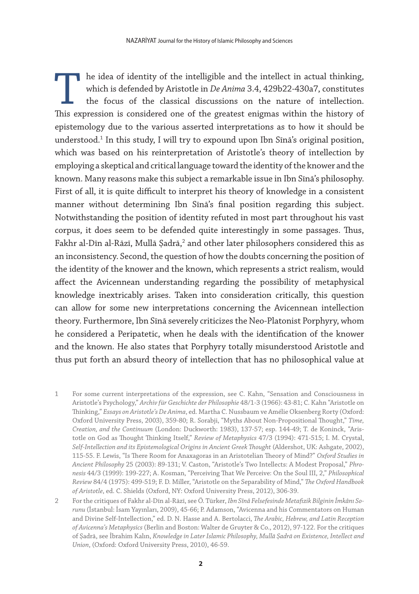The idea of identity of the intelligible and the intellect in actual thinking, which is defended by Aristotle in *De Anima* 3.4, 429b22-430a7, constitutes the focus of the classical discussions on the nature of intellection. This expression is considered one of the greatest enigmas within the history of epistemology due to the various asserted interpretations as to how it should be understood.1 In this study, I will try to expound upon Ibn Sīnā's original position, which was based on his reinterpretation of Aristotle's theory of intellection by employing a skeptical and critical language toward the identity of the knower and the known. Many reasons make this subject a remarkable issue in Ibn Sīnā's philosophy. First of all, it is quite difficult to interpret his theory of knowledge in a consistent manner without determining Ibn Sīnā's final position regarding this subject. Notwithstanding the position of identity refuted in most part throughout his vast corpus, it does seem to be defended quite interestingly in some passages. Thus, Fakhr al-Dīn al-Rāzī, Mullā Şadrā, $^2$  and other later philosophers considered this as an inconsistency. Second, the question of how the doubts concerning the position of the identity of the knower and the known, which represents a strict realism, would affect the Avicennean understanding regarding the possibility of metaphysical knowledge inextricably arises. Taken into consideration critically, this question can allow for some new interpretations concerning the Avicennean intellection theory. Furthermore, Ibn Sīnā severely criticizes the Neo-Platonist Porphyry, whom he considered a Peripatetic, when he deals with the identification of the knower and the known. He also states that Porphyry totally misunderstood Aristotle and thus put forth an absurd theory of intellection that has no philosophical value at

- 1 For some current interpretations of the expression, see C. Kahn, "Sensation and Consciousness in Aristotle's Psychology," *Archiv für Geschichte der Philosophie* 48/1-3 (1966): 43-81; C. Kahn "Aristotle on Thinking," *Essays on Aristotle's De Anima*, ed. Martha C. Nussbaum ve Amélie Oksenberg Rorty (Oxford: Oxford University Press, 2003), 359-80; R. Sorabji, "Myths About Non-Propositional Thought," *Time, Creation, and the Continuum* (London: Duckworth: 1983), 137-57; esp. 144-49; T. de Koninck, "Aristotle on God as Thought Thinking Itself," *Review of Metaphysics* 47/3 (1994): 471-515; I. M. Crystal, *Self-Intellection and its Epistemological Origins in Ancient Greek Thought* (Aldershot, UK: Ashgate, 2002), 115-55. F. Lewis, "Is There Room for Anaxagoras in an Aristotelian Theory of Mind?" *Oxford Studies in Ancient Philosophy* 25 (2003): 89-131; V. Caston, "Aristotle's Two Intellects: A Modest Proposal," *Phronesis* 44/3 (1999): 199-227; A. Kosman, "Perceiving That We Perceive: On the Soul III, 2," *Philosophical Review* 84/4 (1975): 499-519; F. D. Miller, "Aristotle on the Separability of Mind," *The Oxford Handbook of Aristotle*, ed. C. Shields (Oxford, NY: Oxford University Press, 2012), 306-39.
- 2 For the critiques of Fakhr al-Dīn al-Rāzī, see Ö. Türker, *Ibn Sînâ Felsefesinde Metafizik Bilginin İmkânı Sorunu* (İstanbul: İsam Yayınları, 2009), 45-66; P. Adamson, "Avicenna and his Commentators on Human and Divine Self-Intellection," ed. D. N. Hasse and A. Bertolacci, *The Arabic, Hebrew, and Latin Reception of Avicenna's Metaphysics* (Berlin and Boston: Walter de Gruyter & Co., 2012), 97-122. For the critiques of Ṣadrā, see İbrahim Kalın, *Knowledge in Later Islamic Philosophy, Mullā Ṣadrā on Existence, Intellect and Union*, (Oxford: Oxford University Press, 2010), 46-59.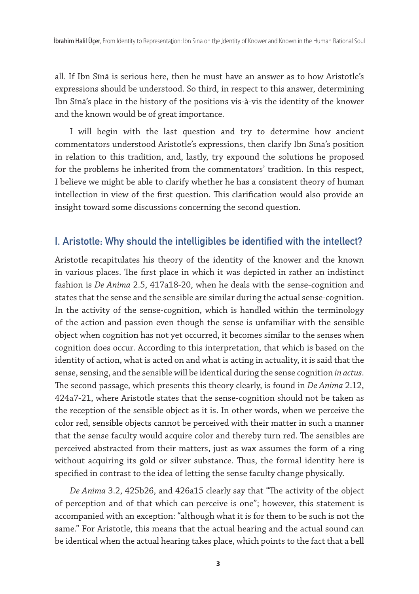all. If Ibn Sīnā is serious here, then he must have an answer as to how Aristotle's expressions should be understood. So third, in respect to this answer, determining Ibn Sīnā's place in the history of the positions vis-à-vis the identity of the knower and the known would be of great importance.

I will begin with the last question and try to determine how ancient commentators understood Aristotle's expressions, then clarify Ibn Sīnā's position in relation to this tradition, and, lastly, try expound the solutions he proposed for the problems he inherited from the commentators' tradition. In this respect, I believe we might be able to clarify whether he has a consistent theory of human intellection in view of the first question. This clarification would also provide an insight toward some discussions concerning the second question.

# I. Aristotle: Why should the intelligibles be identified with the intellect?

Aristotle recapitulates his theory of the identity of the knower and the known in various places. The first place in which it was depicted in rather an indistinct fashion is *De Anima* 2.5, 417a18-20, when he deals with the sense-cognition and states that the sense and the sensible are similar during the actual sense-cognition. In the activity of the sense-cognition, which is handled within the terminology of the action and passion even though the sense is unfamiliar with the sensible object when cognition has not yet occurred, it becomes similar to the senses when cognition does occur. According to this interpretation, that which is based on the identity of action, what is acted on and what is acting in actuality, it is said that the sense, sensing, and the sensible will be identical during the sense cognition *in actus*. The second passage, which presents this theory clearly, is found in *De Anima* 2.12, 424a7-21, where Aristotle states that the sense-cognition should not be taken as the reception of the sensible object as it is. In other words, when we perceive the color red, sensible objects cannot be perceived with their matter in such a manner that the sense faculty would acquire color and thereby turn red. The sensibles are perceived abstracted from their matters, just as wax assumes the form of a ring without acquiring its gold or silver substance. Thus, the formal identity here is specified in contrast to the idea of letting the sense faculty change physically.

*De Anima* 3.2, 425b26, and 426a15 clearly say that "The activity of the object of perception and of that which can perceive is one"; however, this statement is accompanied with an exception: "although what it is for them to be such is not the same." For Aristotle, this means that the actual hearing and the actual sound can be identical when the actual hearing takes place, which points to the fact that a bell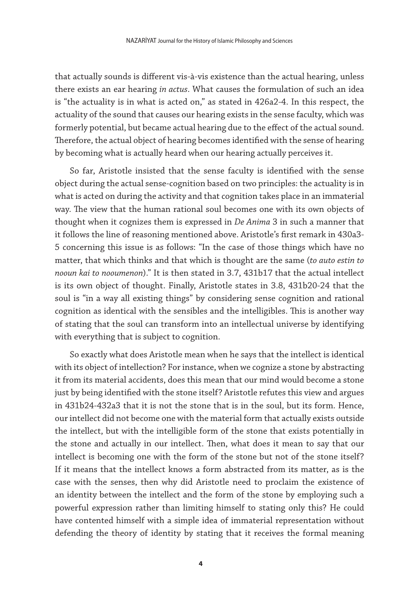that actually sounds is different vis-à-vis existence than the actual hearing, unless there exists an ear hearing *in actus*. What causes the formulation of such an idea is "the actuality is in what is acted on," as stated in 426a2-4. In this respect, the actuality of the sound that causes our hearing exists in the sense faculty, which was formerly potential, but became actual hearing due to the effect of the actual sound. Therefore, the actual object of hearing becomes identified with the sense of hearing by becoming what is actually heard when our hearing actually perceives it.

So far, Aristotle insisted that the sense faculty is identified with the sense object during the actual sense-cognition based on two principles: the actuality is in what is acted on during the activity and that cognition takes place in an immaterial way. The view that the human rational soul becomes one with its own objects of thought when it cognizes them is expressed in *De Anima* 3 in such a manner that it follows the line of reasoning mentioned above. Aristotle's first remark in 430a3- 5 concerning this issue is as follows: "In the case of those things which have no matter, that which thinks and that which is thought are the same (*to auto estin to nooun kai to nooumenon*)." It is then stated in 3.7, 431b17 that the actual intellect is its own object of thought. Finally, Aristotle states in 3.8, 431b20-24 that the soul is "in a way all existing things" by considering sense cognition and rational cognition as identical with the sensibles and the intelligibles. This is another way of stating that the soul can transform into an intellectual universe by identifying with everything that is subject to cognition.

So exactly what does Aristotle mean when he says that the intellect is identical with its object of intellection? For instance, when we cognize a stone by abstracting it from its material accidents, does this mean that our mind would become a stone just by being identified with the stone itself? Aristotle refutes this view and argues in 431b24-432a3 that it is not the stone that is in the soul, but its form. Hence, our intellect did not become one with the material form that actually exists outside the intellect, but with the intelligible form of the stone that exists potentially in the stone and actually in our intellect. Then, what does it mean to say that our intellect is becoming one with the form of the stone but not of the stone itself? If it means that the intellect knows a form abstracted from its matter, as is the case with the senses, then why did Aristotle need to proclaim the existence of an identity between the intellect and the form of the stone by employing such a powerful expression rather than limiting himself to stating only this? He could have contented himself with a simple idea of immaterial representation without defending the theory of identity by stating that it receives the formal meaning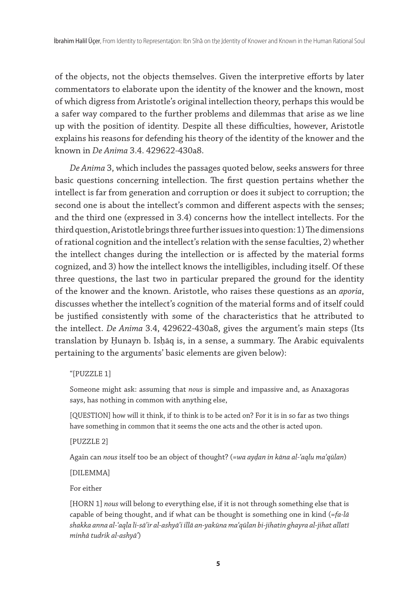of the objects, not the objects themselves. Given the interpretive efforts by later commentators to elaborate upon the identity of the knower and the known, most of which digress from Aristotle's original intellection theory, perhaps this would be a safer way compared to the further problems and dilemmas that arise as we line up with the position of identity. Despite all these difficulties, however, Aristotle explains his reasons for defending his theory of the identity of the knower and the known in *De Anima* 3.4. 429622-430a8.

*De Anima* 3, which includes the passages quoted below, seeks answers for three basic questions concerning intellection. The first question pertains whether the intellect is far from generation and corruption or does it subject to corruption; the second one is about the intellect's common and different aspects with the senses; and the third one (expressed in 3.4) concerns how the intellect intellects. For the third question, Aristotle brings three further issues into question: 1) The dimensions of rational cognition and the intellect's relation with the sense faculties, 2) whether the intellect changes during the intellection or is affected by the material forms cognized, and 3) how the intellect knows the intelligibles, including itself. Of these three questions, the last two in particular prepared the ground for the identity of the knower and the known. Aristotle, who raises these questions as an *aporia*, discusses whether the intellect's cognition of the material forms and of itself could be justified consistently with some of the characteristics that he attributed to the intellect. *De Anima* 3.4, 429622-430a8, gives the argument's main steps (Its translation by Ḥunayn b. Isḥāq is, in a sense, a summary. The Arabic equivalents pertaining to the arguments' basic elements are given below):

#### "[PUZZLE 1]

Someone might ask: assuming that *nous* is simple and impassive and, as Anaxagoras says, has nothing in common with anything else,

[QUESTION] how will it think, if to think is to be acted on? For it is in so far as two things have something in common that it seems the one acts and the other is acted upon.

[PUZZLE 2]

Again can *nous* itself too be an object of thought? (=*wa ayḍan in kāna al-ʿaqlu maʿqūlan*)

[DILEMMA]

For either

[HORN 1] *nous* will belong to everything else, if it is not through something else that is capable of being thought, and if what can be thought is something one in kind (=*fa-lā shakka anna al-ʿaqla li-sāʾir al-ashyāʾi illā an-yakūna maʿqūlan bi-jihatin ghayra al-jihat allatī minhā tudrik al-ashyāʾ*)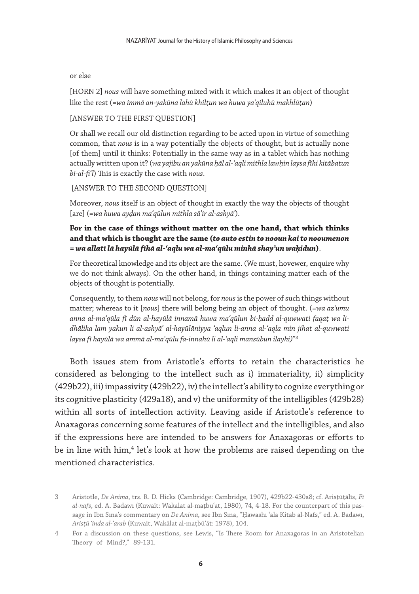#### or else

[HORN 2] *nous* will have something mixed with it which makes it an object of thought like the rest (=*wa immā an-yakūna lahū khilṭun wa huwa yaʿqiluhū makhlūṭan*)

#### [ANSWER TO THE FIRST QUESTION]

Or shall we recall our old distinction regarding to be acted upon in virtue of something common, that *nous* is in a way potentially the objects of thought, but is actually none [of them] until it thinks: Potentially in the same way as in a tablet which has nothing actually written upon it? (*wa yajibu an yakūna ḥāl al-ʿaqli mithla lawḥin laysa fīhi kitābatun bi-al-fi*'*l*) This is exactly the case with *nous*.

## [ANSWER TO THE SECOND QUESTION]

Moreover, *nous* itself is an object of thought in exactly the way the objects of thought [are] (=*wa huwa ayḍan maʿqūlun mithla sāʾir al-ashyāʾ*).

## **For in the case of things without matter on the one hand, that which thinks and that which is thought are the same (to auto estin to nooun kai to nooumenon = wa allatī lā hayūlā fīhā al-ʿaqlu wa al-maʿqūlu minhā shayʾun waḥidun)**.

For theoretical knowledge and its object are the same. (We must, hovewer, enquire why we do not think always). On the other hand, in things containing matter each of the objects of thought is potentially.

Consequently, to them *nous* will not belong, for *nous* is the power of such things without matter; whereas to it [*nous*] there will belong being an object of thought. (=*wa azʿumu anna al-maʿqūla fī dūn al-hayūlā innamā huwa maʿqūlun bi-ḥadd al-quwwati faqaṭ wa lidhālika lam yakun li al-ashyāʾ al-hayūlāniyya ʿaqlun li-anna al-ʿaqla min jihat al-quwwati laysa fī hayūlā wa ammā al-maʿqūlu fa-innahū li al-ʿaqli mansūbun ilayhi)*"3

Both issues stem from Aristotle's efforts to retain the characteristics he considered as belonging to the intellect such as i) immateriality, ii) simplicity (429b22), iii) impassivity (429b22), iv) the intellect's ability to cognize everything or its cognitive plasticity (429a18), and v) the uniformity of the intelligibles (429b28) within all sorts of intellection activity. Leaving aside if Aristotle's reference to Anaxagoras concerning some features of the intellect and the intelligibles, and also if the expressions here are intended to be answers for Anaxagoras or efforts to be in line with him,<sup>4</sup> let's look at how the problems are raised depending on the mentioned characteristics.

<sup>3</sup> Aristotle, *De Anima*, trs. R. D. Hicks (Cambridge: Cambridge, 1907), 429b22-430a8; cf. Arisṭūṭālīs, *Fī al-nafs*, ed. A. Badawī (Kuwait: Wakālat al-maṭbūʿāt, 1980), 74, 4-18. For the counterpart of this passage in Ibn Sīnā's commentary on *De Anima*, see Ibn Sīnā, "Ḥawāshī ʿalā Kitāb al-Nafs," ed. A. Badawī, *Arisṭū ʿinda al-ʿarab* (Kuwait, Wakālat al-maṭbūʿāt: 1978), 104.

<sup>4</sup> For a discussion on these questions, see Lewis, "Is There Room for Anaxagoras in an Aristotelian Theory of Mind?," 89-131.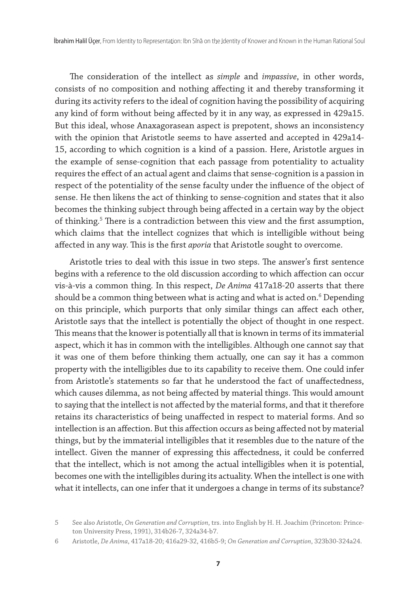The consideration of the intellect as *simple* and *impassive*, in other words, consists of no composition and nothing affecting it and thereby transforming it during its activity refers to the ideal of cognition having the possibility of acquiring any kind of form without being affected by it in any way, as expressed in 429a15. But this ideal, whose Anaxagorasean aspect is prepotent, shows an inconsistency with the opinion that Aristotle seems to have asserted and accepted in 429a14- 15, according to which cognition is a kind of a passion. Here, Aristotle argues in the example of sense-cognition that each passage from potentiality to actuality requires the effect of an actual agent and claims that sense-cognition is a passion in respect of the potentiality of the sense faculty under the influence of the object of sense. He then likens the act of thinking to sense-cognition and states that it also becomes the thinking subject through being affected in a certain way by the object of thinking.<sup>5</sup> There is a contradiction between this view and the first assumption, which claims that the intellect cognizes that which is intelligible without being affected in any way. This is the first *aporia* that Aristotle sought to overcome.

Aristotle tries to deal with this issue in two steps. The answer's first sentence begins with a reference to the old discussion according to which affection can occur vis-à-vis a common thing. In this respect, *De Anima* 417a18-20 asserts that there should be a common thing between what is acting and what is acted on.6 Depending on this principle, which purports that only similar things can affect each other, Aristotle says that the intellect is potentially the object of thought in one respect. This means that the knower is potentially all that is known in terms of its immaterial aspect, which it has in common with the intelligibles. Although one cannot say that it was one of them before thinking them actually, one can say it has a common property with the intelligibles due to its capability to receive them. One could infer from Aristotle's statements so far that he understood the fact of unaffectedness, which causes dilemma, as not being affected by material things. This would amount to saying that the intellect is not affected by the material forms, and that it therefore retains its characteristics of being unaffected in respect to material forms. And so intellection is an affection. But this affection occurs as being affected not by material things, but by the immaterial intelligibles that it resembles due to the nature of the intellect. Given the manner of expressing this affectedness, it could be conferred that the intellect, which is not among the actual intelligibles when it is potential, becomes one with the intelligibles during its actuality. When the intellect is one with what it intellects, can one infer that it undergoes a change in terms of its substance?

<sup>5</sup> See also Aristotle, *On Generation and Corruption*, trs. into English by H. H. Joachim (Princeton: Princeton University Press, 1991), 314b26-7, 324a34-b7.

<sup>6</sup> Aristotle, *De Anima*, 417a18-20; 416a29-32, 416b5-9; *On Generation and Corruption*, 323b30-324a24.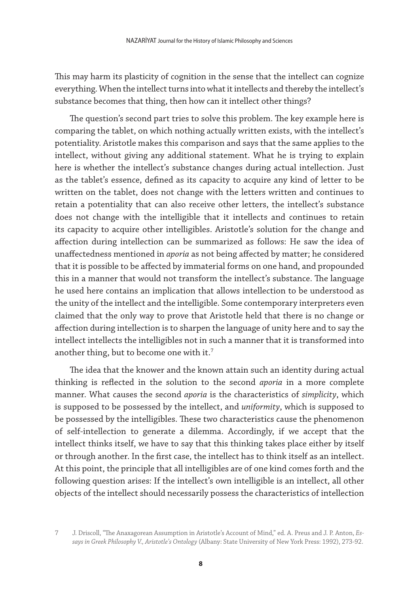This may harm its plasticity of cognition in the sense that the intellect can cognize everything. When the intellect turns into what it intellects and thereby the intellect's substance becomes that thing, then how can it intellect other things?

The question's second part tries to solve this problem. The key example here is comparing the tablet, on which nothing actually written exists, with the intellect's potentiality. Aristotle makes this comparison and says that the same applies to the intellect, without giving any additional statement. What he is trying to explain here is whether the intellect's substance changes during actual intellection. Just as the tablet's essence, defined as its capacity to acquire any kind of letter to be written on the tablet, does not change with the letters written and continues to retain a potentiality that can also receive other letters, the intellect's substance does not change with the intelligible that it intellects and continues to retain its capacity to acquire other intelligibles. Aristotle's solution for the change and affection during intellection can be summarized as follows: He saw the idea of unaffectedness mentioned in *aporia* as not being affected by matter; he considered that it is possible to be affected by immaterial forms on one hand, and propounded this in a manner that would not transform the intellect's substance. The language he used here contains an implication that allows intellection to be understood as the unity of the intellect and the intelligible. Some contemporary interpreters even claimed that the only way to prove that Aristotle held that there is no change or affection during intellection is to sharpen the language of unity here and to say the intellect intellects the intelligibles not in such a manner that it is transformed into another thing, but to become one with it.<sup>7</sup>

The idea that the knower and the known attain such an identity during actual thinking is reflected in the solution to the second *aporia* in a more complete manner. What causes the second *aporia* is the characteristics of *simplicity*, which is supposed to be possessed by the intellect, and *uniformity*, which is supposed to be possessed by the intelligibles. These two characteristics cause the phenomenon of self-intellection to generate a dilemma. Accordingly, if we accept that the intellect thinks itself, we have to say that this thinking takes place either by itself or through another. In the first case, the intellect has to think itself as an intellect. At this point, the principle that all intelligibles are of one kind comes forth and the following question arises: If the intellect's own intelligible is an intellect, all other objects of the intellect should necessarily possess the characteristics of intellection

<sup>7</sup> J. Driscoll, "The Anaxagorean Assumption in Aristotle's Account of Mind," ed. A. Preus and J. P. Anton, *Essays in Greek Philosophy V., Aristotle's Ontology* (Albany: State University of New York Press: 1992), 273-92.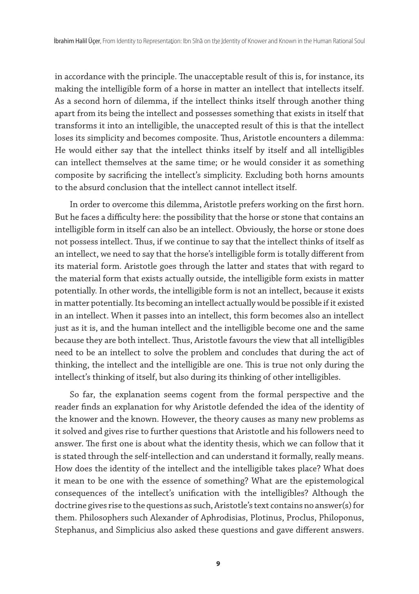in accordance with the principle. The unacceptable result of this is, for instance, its making the intelligible form of a horse in matter an intellect that intellects itself. As a second horn of dilemma, if the intellect thinks itself through another thing apart from its being the intellect and possesses something that exists in itself that transforms it into an intelligible, the unaccepted result of this is that the intellect loses its simplicity and becomes composite. Thus, Aristotle encounters a dilemma: He would either say that the intellect thinks itself by itself and all intelligibles can intellect themselves at the same time; or he would consider it as something composite by sacrificing the intellect's simplicity. Excluding both horns amounts to the absurd conclusion that the intellect cannot intellect itself.

In order to overcome this dilemma, Aristotle prefers working on the first horn. But he faces a difficulty here: the possibility that the horse or stone that contains an intelligible form in itself can also be an intellect. Obviously, the horse or stone does not possess intellect. Thus, if we continue to say that the intellect thinks of itself as an intellect, we need to say that the horse's intelligible form is totally different from its material form. Aristotle goes through the latter and states that with regard to the material form that exists actually outside, the intelligible form exists in matter potentially. In other words, the intelligible form is not an intellect, because it exists in matter potentially. Its becoming an intellect actually would be possible if it existed in an intellect. When it passes into an intellect, this form becomes also an intellect just as it is, and the human intellect and the intelligible become one and the same because they are both intellect. Thus, Aristotle favours the view that all intelligibles need to be an intellect to solve the problem and concludes that during the act of thinking, the intellect and the intelligible are one. This is true not only during the intellect's thinking of itself, but also during its thinking of other intelligibles.

So far, the explanation seems cogent from the formal perspective and the reader finds an explanation for why Aristotle defended the idea of the identity of the knower and the known. However, the theory causes as many new problems as it solved and gives rise to further questions that Aristotle and his followers need to answer. The first one is about what the identity thesis, which we can follow that it is stated through the self-intellection and can understand it formally, really means. How does the identity of the intellect and the intelligible takes place? What does it mean to be one with the essence of something? What are the epistemological consequences of the intellect's unification with the intelligibles? Although the doctrine gives rise to the questions as such, Aristotle's text contains no answer(s) for them. Philosophers such Alexander of Aphrodisias, Plotinus, Proclus, Philoponus, Stephanus, and Simplicius also asked these questions and gave different answers.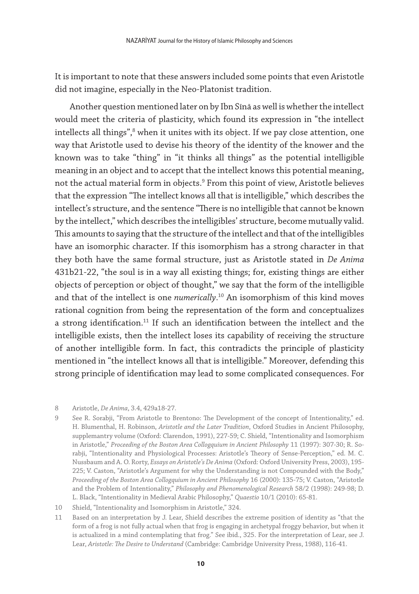It is important to note that these answers included some points that even Aristotle did not imagine, especially in the Neo-Platonist tradition.

Another question mentioned later on by Ibn Sīnā as well is whether the intellect would meet the criteria of plasticity, which found its expression in "the intellect intellects all things", $^8$  when it unites with its object. If we pay close attention, one way that Aristotle used to devise his theory of the identity of the knower and the known was to take "thing" in "it thinks all things" as the potential intelligible meaning in an object and to accept that the intellect knows this potential meaning, not the actual material form in objects.9 From this point of view, Aristotle believes that the expression "The intellect knows all that is intelligible," which describes the intellect's structure, and the sentence "There is no intelligible that cannot be known by the intellect," which describes the intelligibles' structure, become mutually valid. This amounts to saying that the structure of the intellect and that of the intelligibles have an isomorphic character. If this isomorphism has a strong character in that they both have the same formal structure, just as Aristotle stated in *De Anima* 431b21-22, "the soul is in a way all existing things; for, existing things are either objects of perception or object of thought," we say that the form of the intelligible and that of the intellect is one *numerically*. 10 An isomorphism of this kind moves rational cognition from being the representation of the form and conceptualizes a strong identification.<sup>11</sup> If such an identification between the intellect and the intelligible exists, then the intellect loses its capability of receiving the structure of another intelligible form. In fact, this contradicts the principle of plasticity mentioned in "the intellect knows all that is intelligible." Moreover, defending this strong principle of identification may lead to some complicated consequences. For

8 Aristotle, *De Anima*, 3.4, 429a18-27.

- 9 See R. Sorabji, "From Aristotle to Brentono: The Development of the concept of Intentionality," ed. H. Blumenthal, H. Robinson, *Aristotle and the Later Tradition*, Oxford Studies in Ancient Philosophy, supplemantry volume (Oxford: Clarendon, 1991), 227-59; C. Shield, "Intentionality and Isomorphism in Aristotle," *Proceeding of the Boston Area Collogquium in Ancient Philosophy* 11 (1997): 307-30; R. Sorabji, "Intentionality and Physiological Processes: Aristotle's Theory of Sense-Perception," ed. M. C. Nussbaum and A. O. Rorty, *Essays on Aristotle's De Anima* (Oxford: Oxford University Press, 2003), 195- 225; V. Caston, "Aristotle's Argument for why the Understanding is not Compounded with the Body," *Proceeding of the Boston Area Collogquium in Ancient Philosophy* 16 (2000): 135-75; V. Caston, "Aristotle and the Problem of Intentionality," *Philosophy and Phenomenological Research* 58/2 (1998): 249-98; D. L. Black, "Intentionality in Medieval Arabic Philosophy," *Quaestio* 10/1 (2010): 65-81.
- 10 Shield, "Intentionality and Isomorphism in Aristotle," 324.
- 11 Based on an interpretation by J. Lear, Shield describes the extreme position of identity as "that the form of a frog is not fully actual when that frog is engaging in archetypal froggy behavior, but when it is actualized in a mind contemplating that frog." See ibid., 325. For the interpretation of Lear, see J. Lear, *Aristotle: The Desire to Understand* (Cambridge: Cambridge University Press, 1988), 116-41.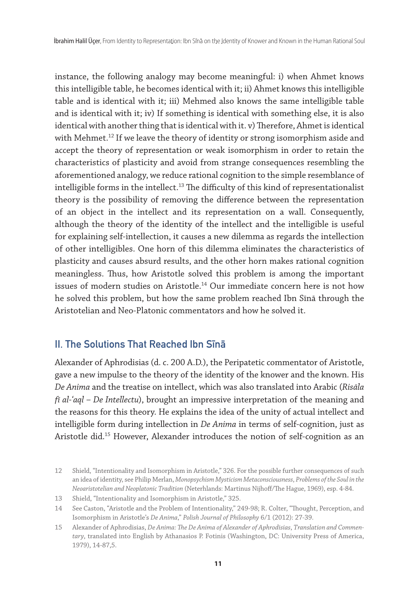instance, the following analogy may become meaningful: i) when Ahmet knows this intelligible table, he becomes identical with it; ii) Ahmet knows this intelligible table and is identical with it; iii) Mehmed also knows the same intelligible table and is identical with it; iv) If something is identical with something else, it is also identical with another thing that is identical with it. v) Therefore, Ahmet is identical with Mehmet.<sup>12</sup> If we leave the theory of identity or strong isomorphism aside and accept the theory of representation or weak isomorphism in order to retain the characteristics of plasticity and avoid from strange consequences resembling the aforementioned analogy, we reduce rational cognition to the simple resemblance of intelligible forms in the intellect.<sup>13</sup> The difficulty of this kind of representationalist theory is the possibility of removing the difference between the representation of an object in the intellect and its representation on a wall. Consequently, although the theory of the identity of the intellect and the intelligible is useful for explaining self-intellection, it causes a new dilemma as regards the intellection of other intelligibles. One horn of this dilemma eliminates the characteristics of plasticity and causes absurd results, and the other horn makes rational cognition meaningless. Thus, how Aristotle solved this problem is among the important issues of modern studies on Aristotle.<sup>14</sup> Our immediate concern here is not how he solved this problem, but how the same problem reached Ibn Sīnā through the Aristotelian and Neo-Platonic commentators and how he solved it.

# **II. The Solutions That Reached Ibn Sina**

Alexander of Aphrodisias (d. c. 200 A.D.), the Peripatetic commentator of Aristotle, gave a new impulse to the theory of the identity of the knower and the known. His *De Anima* and the treatise on intellect, which was also translated into Arabic (*Risāla fī al-ʿaql – De Intellectu*), brought an impressive interpretation of the meaning and the reasons for this theory. He explains the idea of the unity of actual intellect and intelligible form during intellection in *De Anima* in terms of self-cognition, just as Aristotle did.<sup>15</sup> However, Alexander introduces the notion of self-cognition as an

<sup>12</sup> Shield, "Intentionality and Isomorphism in Aristotle," 326. For the possible further consequences of such an idea of identity, see Philip Merlan, *Monopsychism Mysticism Metaconsciousness*, *Problems of the Soul in the Neoaristotelian and Neoplatonic Tradition* (Neterhlands: Martinus Nijhoff/The Hague, 1969), esp. 4-84.

<sup>13</sup> Shield, "Intentionality and Isomorphism in Aristotle," 325.

<sup>14</sup> See Caston, "Aristotle and the Problem of Intentionality," 249-98; R. Colter, "Thought, Perception, and Isomorphism in Aristotle's *De Anima*," *Polish Journal of Philosophy* 6/1 (2012): 27-39.

<sup>15</sup> Alexander of Aphrodisias, *De Anima: The De Anima of Alexander of Aphrodisias*, *Translation and Commentary*, translated into English by Athanasios P. Fotinis (Washington, DC: University Press of America, 1979), 14-87,5.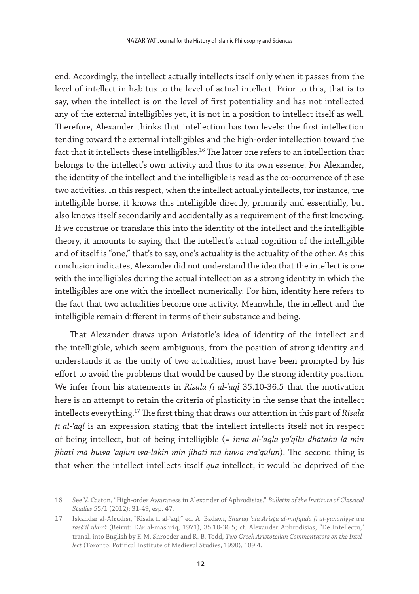end. Accordingly, the intellect actually intellects itself only when it passes from the level of intellect in habitus to the level of actual intellect. Prior to this, that is to say, when the intellect is on the level of first potentiality and has not intellected any of the external intelligibles yet, it is not in a position to intellect itself as well. Therefore, Alexander thinks that intellection has two levels: the first intellection tending toward the external intelligibles and the high-order intellection toward the fact that it intellects these intelligibles.<sup>16</sup> The latter one refers to an intellection that belongs to the intellect's own activity and thus to its own essence. For Alexander, the identity of the intellect and the intelligible is read as the co-occurrence of these two activities. In this respect, when the intellect actually intellects, for instance, the intelligible horse, it knows this intelligible directly, primarily and essentially, but also knows itself secondarily and accidentally as a requirement of the first knowing. If we construe or translate this into the identity of the intellect and the intelligible theory, it amounts to saying that the intellect's actual cognition of the intelligible and of itself is "one," that's to say, one's actuality is the actuality of the other. As this conclusion indicates, Alexander did not understand the idea that the intellect is one with the intelligibles during the actual intellection as a strong identity in which the intelligibles are one with the intellect numerically. For him, identity here refers to the fact that two actualities become one activity. Meanwhile, the intellect and the intelligible remain different in terms of their substance and being.

That Alexander draws upon Aristotle's idea of identity of the intellect and the intelligible, which seem ambiguous, from the position of strong identity and understands it as the unity of two actualities, must have been prompted by his effort to avoid the problems that would be caused by the strong identity position. We infer from his statements in *Risāla fī al-ʿaql* 35.10-36.5 that the motivation here is an attempt to retain the criteria of plasticity in the sense that the intellect intellects everything.17 The first thing that draws our attention in this part of *Risāla fī al-ʿaql* is an expression stating that the intellect intellects itself not in respect of being intellect, but of being intelligible (= *inna al-ʿaqla ya'qilu dhātahū lā min jihati mā huwa ʿaqlun wa-lākin min jihati mā huwa maʿqūlun*). The second thing is that when the intellect intellects itself *qua* intellect, it would be deprived of the

<sup>16</sup> See V. Caston, "High-order Awaraness in Alexander of Aphrodisias," *Bulletin of the Institute of Classical Studies* 55/1 (2012): 31-49, esp. 47.

<sup>17</sup> Iskandar al-Afrūdīsī, "Risāla fī al-ʿaql," ed. A. Badawī, *Shurūḥ ʿalā Arisṭū al-mafqūda fī al-yūnāniyye wa rasā'il ukhrā* (Beirut: Dār al-mashriq, 1971), 35.10-36.5; cf. Alexander Aphrodisias, "De Intellectu," transl. into English by F. M. Shroeder and R. B. Todd, *Two Greek Aristotelian Commentators on the Intellect* (Toronto: Potifical Institute of Medieval Studies, 1990), 109.4.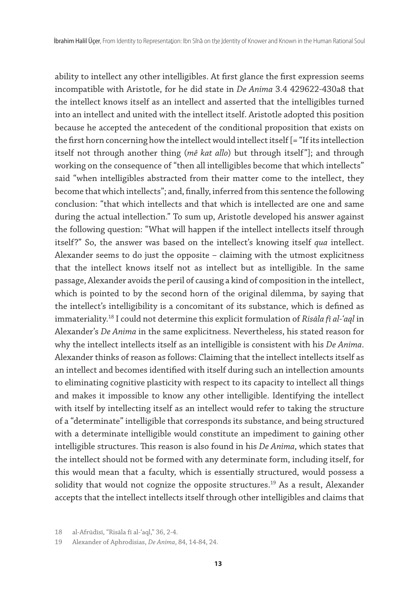ability to intellect any other intelligibles. At first glance the first expression seems incompatible with Aristotle, for he did state in *De Anima* 3.4 429622-430a8 that the intellect knows itself as an intellect and asserted that the intelligibles turned into an intellect and united with the intellect itself. Aristotle adopted this position because he accepted the antecedent of the conditional proposition that exists on the first horn concerning how the intellect would intellect itself [= "If its intellection itself not through another thing (*mê kat allo*) but through itself"]; and through working on the consequence of "then all intelligibles become that which intellects" said "when intelligibles abstracted from their matter come to the intellect, they become that which intellects"; and, finally, inferred from this sentence the following conclusion: "that which intellects and that which is intellected are one and same during the actual intellection." To sum up, Aristotle developed his answer against the following question: "What will happen if the intellect intellects itself through itself?" So, the answer was based on the intellect's knowing itself *qua* intellect. Alexander seems to do just the opposite – claiming with the utmost explicitness that the intellect knows itself not as intellect but as intelligible. In the same passage, Alexander avoids the peril of causing a kind of composition in the intellect, which is pointed to by the second horn of the original dilemma, by saying that the intellect's intelligibility is a concomitant of its substance, which is defined as immateriality.18 I could not determine this explicit formulation of *Risāla fī al-ʿaql* in Alexander's *De Anima* in the same explicitness. Nevertheless, his stated reason for why the intellect intellects itself as an intelligible is consistent with his *De Anima*. Alexander thinks of reason as follows: Claiming that the intellect intellects itself as an intellect and becomes identified with itself during such an intellection amounts to eliminating cognitive plasticity with respect to its capacity to intellect all things and makes it impossible to know any other intelligible. Identifying the intellect with itself by intellecting itself as an intellect would refer to taking the structure of a "determinate" intelligible that corresponds its substance, and being structured with a determinate intelligible would constitute an impediment to gaining other intelligible structures. This reason is also found in his *De Anima*, which states that the intellect should not be formed with any determinate form, including itself, for this would mean that a faculty, which is essentially structured, would possess a solidity that would not cognize the opposite structures.<sup>19</sup> As a result, Alexander accepts that the intellect intellects itself through other intelligibles and claims that

<sup>18</sup> al-Afrūdīsī, "Risāla fī al-ʿaql," 36, 2-4.

<sup>19</sup> Alexander of Aphrodisias, *De Anima*, 84, 14-84, 24.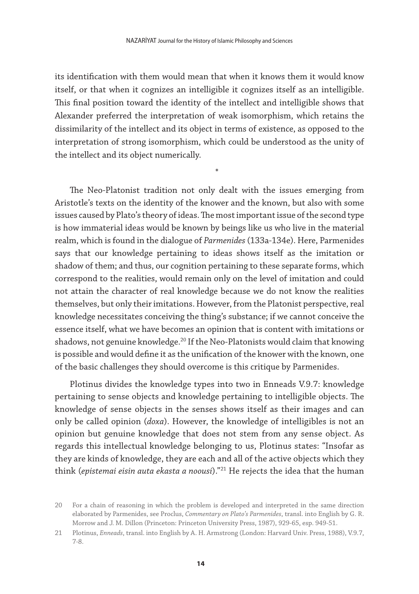its identification with them would mean that when it knows them it would know itself, or that when it cognizes an intelligible it cognizes itself as an intelligible. This final position toward the identity of the intellect and intelligible shows that Alexander preferred the interpretation of weak isomorphism, which retains the dissimilarity of the intellect and its object in terms of existence, as opposed to the interpretation of strong isomorphism, which could be understood as the unity of the intellect and its object numerically.

\*

The Neo-Platonist tradition not only dealt with the issues emerging from Aristotle's texts on the identity of the knower and the known, but also with some issues caused by Plato's theory of ideas. The most important issue of the second type is how immaterial ideas would be known by beings like us who live in the material realm, which is found in the dialogue of *Parmenides* (133a-134e). Here, Parmenides says that our knowledge pertaining to ideas shows itself as the imitation or shadow of them; and thus, our cognition pertaining to these separate forms, which correspond to the realities, would remain only on the level of imitation and could not attain the character of real knowledge because we do not know the realities themselves, but only their imitations. However, from the Platonist perspective, real knowledge necessitates conceiving the thing's substance; if we cannot conceive the essence itself, what we have becomes an opinion that is content with imitations or shadows, not genuine knowledge.<sup>20</sup> If the Neo-Platonists would claim that knowing is possible and would define it as the unification of the knower with the known, one of the basic challenges they should overcome is this critique by Parmenides.

Plotinus divides the knowledge types into two in Enneads V.9.7: knowledge pertaining to sense objects and knowledge pertaining to intelligible objects. The knowledge of sense objects in the senses shows itself as their images and can only be called opinion (*doxa*). However, the knowledge of intelligibles is not an opinion but genuine knowledge that does not stem from any sense object. As regards this intellectual knowledge belonging to us, Plotinus states: "Insofar as they are kinds of knowledge, they are each and all of the active objects which they think (*epistemai eisin auta ekasta a noousi*)."21 He rejects the idea that the human

<sup>20</sup> For a chain of reasoning in which the problem is developed and interpreted in the same direction elaborated by Parmenides, see Proclus, *Commentary on Plato's Parmenides*, transl. into English by G. R. Morrow and J. M. Dillon (Princeton: Princeton University Press, 1987), 929-65, esp. 949-51.

<sup>21</sup> Plotinus, *Enneads*, transl. into English by A. H. Armstrong (London: Harvard Univ. Press, 1988), V.9.7, 7-8.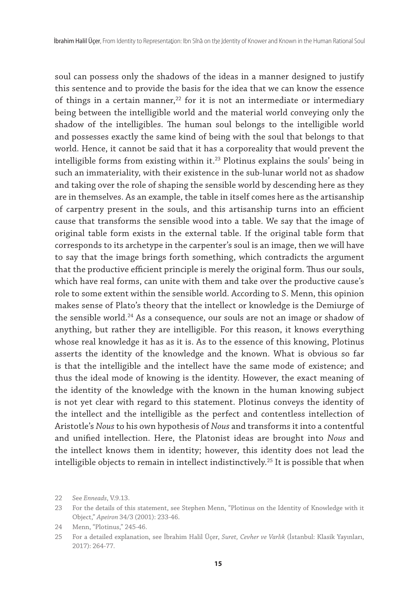soul can possess only the shadows of the ideas in a manner designed to justify this sentence and to provide the basis for the idea that we can know the essence of things in a certain manner, $22$  for it is not an intermediate or intermediary being between the intelligible world and the material world conveying only the shadow of the intelligibles. The human soul belongs to the intelligible world and possesses exactly the same kind of being with the soul that belongs to that world. Hence, it cannot be said that it has a corporeality that would prevent the intelligible forms from existing within it.<sup>23</sup> Plotinus explains the souls' being in such an immateriality, with their existence in the sub-lunar world not as shadow and taking over the role of shaping the sensible world by descending here as they are in themselves. As an example, the table in itself comes here as the artisanship of carpentry present in the souls, and this artisanship turns into an efficient cause that transforms the sensible wood into a table. We say that the image of original table form exists in the external table. If the original table form that corresponds to its archetype in the carpenter's soul is an image, then we will have to say that the image brings forth something, which contradicts the argument that the productive efficient principle is merely the original form. Thus our souls, which have real forms, can unite with them and take over the productive cause's role to some extent within the sensible world. According to S. Menn, this opinion makes sense of Plato's theory that the intellect or knowledge is the Demiurge of the sensible world.<sup>24</sup> As a consequence, our souls are not an image or shadow of anything, but rather they are intelligible. For this reason, it knows everything whose real knowledge it has as it is. As to the essence of this knowing, Plotinus asserts the identity of the knowledge and the known. What is obvious so far is that the intelligible and the intellect have the same mode of existence; and thus the ideal mode of knowing is the identity. However, the exact meaning of the identity of the knowledge with the known in the human knowing subject is not yet clear with regard to this statement. Plotinus conveys the identity of the intellect and the intelligible as the perfect and contentless intellection of Aristotle's *Nous* to his own hypothesis of *Nous* and transforms it into a contentful and unified intellection. Here, the Platonist ideas are brought into *Nous* and the intellect knows them in identity; however, this identity does not lead the intelligible objects to remain in intellect indistinctively.<sup>25</sup> It is possible that when

<sup>22</sup> See *Enneads*, V.9.13.

<sup>23</sup> For the details of this statement, see Stephen Menn, "Plotinus on the Identity of Knowledge with it Object," *Apeiron* 34/3 (2001): 233-46.

<sup>24</sup> Menn, "Plotinus," 245-46.

<sup>25</sup> For a detailed explanation, see İbrahim Halil Üçer, *Suret, Cevher ve Varlık* (İstanbul: Klasik Yayınları, 2017): 264-77.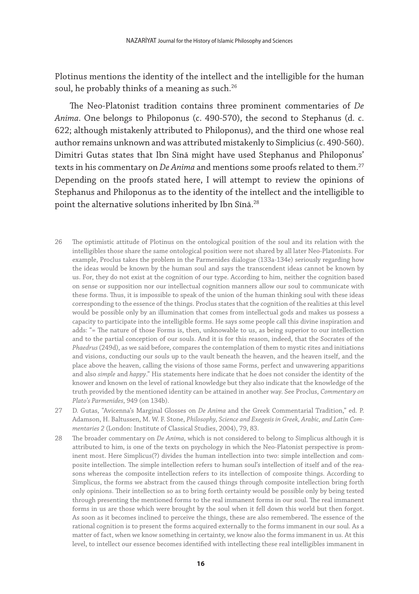Plotinus mentions the identity of the intellect and the intelligible for the human soul, he probably thinks of a meaning as such. $^{26}$ 

The Neo-Platonist tradition contains three prominent commentaries of *De Anima*. One belongs to Philoponus (c. 490-570), the second to Stephanus (d. c. 622; although mistakenly attributed to Philoponus), and the third one whose real author remains unknown and was attributed mistakenly to Simplicius (c. 490-560). Dimitri Gutas states that Ibn Sīnā might have used Stephanus and Philoponus' texts in his commentary on *De Anima* and mentions some proofs related to them.<sup>27</sup> Depending on the proofs stated here, I will attempt to review the opinions of Stephanus and Philoponus as to the identity of the intellect and the intelligible to point the alternative solutions inherited by Ibn Sīnā.<sup>28</sup>

- 26 The optimistic attitude of Plotinus on the ontological position of the soul and its relation with the intelligibles those share the same ontological position were not shared by all later Neo-Platonists. For example, Proclus takes the problem in the Parmenides dialogue (133a-134e) seriously regarding how the ideas would be known by the human soul and says the transcendent ideas cannot be known by us. For, they do not exist at the cognition of our type. According to him, neither the cognition based on sense or supposition nor our intellectual cognition manners allow our soul to communicate with these forms. Thus, it is impossible to speak of the union of the human thinking soul with these ideas corresponding to the essence of the things. Proclus states that the cognition of the realities at this level would be possible only by an illumination that comes from intellectual gods and makes us possess a capacity to participate into the intelligible forms. He says some people call this divine inspiration and adds: "= The nature of those Forms is, then, unknowable to us, as being superior to our intellection and to the partial conception of our souls. And it is for this reason, indeed, that the Socrates of the *Phaedrus* (249d), as we said before, compares the contemplation of them to mystic rites and initiations and visions, conducting our souls up to the vault beneath the heaven, and the heaven itself, and the place above the heaven, calling the visions of those same Forms, perfect and unwavering apparitions and also *simple* and *happy*." His statements here indicate that he does not consider the identity of the knower and known on the level of rational knowledge but they also indicate that the knowledge of the truth provided by the mentioned identity can be attained in another way. See Proclus, *Commentary on Plato's Parmenides*, 949 (on 134b).
- 27 D. Gutas, "Avicenna's Marginal Glosses on *De Anima* and the Greek Commentarial Tradition," ed. P. Adamson, H. Baltussen, M. W. F. Stone, *Philosophy, Science and Exegesis in Greek, Arabic, and Latin Commentaries 2* (London: Institute of Classical Studies, 2004), 79, 83.
- 28 The broader commentary on *De Anima*, which is not considered to belong to Simplicus although it is attributed to him, is one of the texts on psychology in which the Neo-Platonist perspective is prominent most. Here Simplicus(?) divides the human intellection into two: simple intellection and composite intellection. The simple intellection refers to human soul's intellection of itself and of the reasons whereas the composite intellection refers to its intellection of composite things. According to Simplicus, the forms we abstract from the caused things through composite intellection bring forth only opinions. Their intellection so as to bring forth certainty would be possible only by being tested through presenting the mentioned forms to the real immanent forms in our soul. The real immanent forms in us are those which were brought by the soul when it fell down this world but then forgot. As soon as it becomes inclined to perceive the things, these are also remembered. The essence of the rational cognition is to present the forms acquired externally to the forms immanent in our soul. As a matter of fact, when we know something in certainty, we know also the forms immanent in us. At this level, to intellect our essence becomes identified with intellecting these real intelligibles immanent in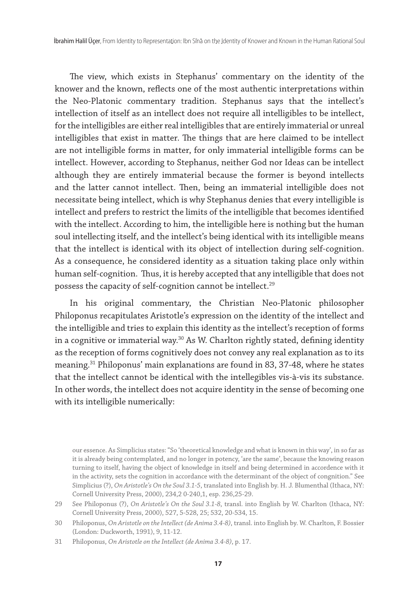The view, which exists in Stephanus' commentary on the identity of the knower and the known, reflects one of the most authentic interpretations within the Neo-Platonic commentary tradition. Stephanus says that the intellect's intellection of itself as an intellect does not require all intelligibles to be intellect, for the intelligibles are either real intelligibles that are entirely immaterial or unreal intelligibles that exist in matter. The things that are here claimed to be intellect are not intelligible forms in matter, for only immaterial intelligible forms can be intellect. However, according to Stephanus, neither God nor Ideas can be intellect although they are entirely immaterial because the former is beyond intellects and the latter cannot intellect. Then, being an immaterial intelligible does not necessitate being intellect, which is why Stephanus denies that every intelligible is intellect and prefers to restrict the limits of the intelligible that becomes identified with the intellect. According to him, the intelligible here is nothing but the human soul intellecting itself, and the intellect's being identical with its intelligible means that the intellect is identical with its object of intellection during self-cognition. As a consequence, he considered identity as a situation taking place only within human self-cognition. Thus, it is hereby accepted that any intelligible that does not possess the capacity of self-cognition cannot be intellect.<sup>29</sup>

In his original commentary, the Christian Neo-Platonic philosopher Philoponus recapitulates Aristotle's expression on the identity of the intellect and the intelligible and tries to explain this identity as the intellect's reception of forms in a cognitive or immaterial way.<sup>30</sup> As W. Charlton rightly stated, defining identity as the reception of forms cognitively does not convey any real explanation as to its meaning.31 Philoponus' main explanations are found in 83, 37-48, where he states that the intellect cannot be identical with the intellegibles vis-à-vis its substance. In other words, the intellect does not acquire identity in the sense of becoming one with its intelligible numerically:

our essence. As Simplicius states: "So 'theoretical knowledge and what is known in this way', in so far as it is already being contemplated, and no longer in potency, 'are the same', because the knowing reason turning to itself, having the object of knowledge in itself and being determined in accordence with it in the activity, sets the cognition in accordance with the determinant of the object of congnition." See Simplicius (?), *On Aristotle's On the Soul 3.1-5*, translated into English by. H. J. Blumenthal (Ithaca, NY: Cornell University Press, 2000), 234,2 0-240,1, esp. 236,25-29.

<sup>29</sup> See Philoponus (?), *On Aristotle's On the Soul 3.1-8*, transl. into English by W. Charlton (Ithaca, NY: Cornell University Press, 2000), 527, 5-528, 25; 532, 20-534, 15.

<sup>30</sup> Philoponus, *On Aristotle on the Intellect (de Anima 3.4-8)*, transl. into English by. W. Charlton, F. Bossier (London: Duckworth, 1991), 9, 11-12.

<sup>31</sup> Philoponus, *On Aristotle on the Intellect (de Anima 3.4-8)*, p. 17.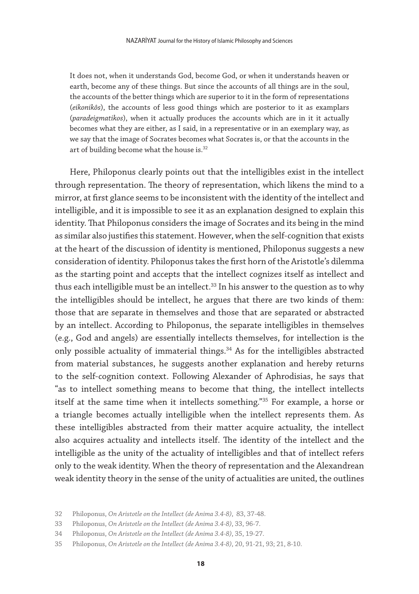It does not, when it understands God, become God, or when it understands heaven or earth, become any of these things. But since the accounts of all things are in the soul, the accounts of the better things which are superior to it in the form of representations (*eikonikôs*), the accounts of less good things which are posterior to it as examplars (*paradeigmatikos*), when it actually produces the accounts which are in it it actually becomes what they are either, as I said, in a representative or in an exemplary way, as we say that the image of Socrates becomes what Socrates is, or that the accounts in the art of building become what the house is.<sup>32</sup>

Here, Philoponus clearly points out that the intelligibles exist in the intellect through representation. The theory of representation, which likens the mind to a mirror, at first glance seems to be inconsistent with the identity of the intellect and intelligible, and it is impossible to see it as an explanation designed to explain this identity. That Philoponus considers the image of Socrates and its being in the mind as similar also justifies this statement. However, when the self-cognition that exists at the heart of the discussion of identity is mentioned, Philoponus suggests a new consideration of identity. Philoponus takes the first horn of the Aristotle's dilemma as the starting point and accepts that the intellect cognizes itself as intellect and thus each intelligible must be an intellect. $33$  In his answer to the question as to why the intelligibles should be intellect, he argues that there are two kinds of them: those that are separate in themselves and those that are separated or abstracted by an intellect. According to Philoponus, the separate intelligibles in themselves (e.g., God and angels) are essentially intellects themselves, for intellection is the only possible actuality of immaterial things.<sup>34</sup> As for the intelligibles abstracted from material substances, he suggests another explanation and hereby returns to the self-cognition context. Following Alexander of Aphrodisias, he says that "as to intellect something means to become that thing, the intellect intellects itself at the same time when it intellects something."35 For example, a horse or a triangle becomes actually intelligible when the intellect represents them. As these intelligibles abstracted from their matter acquire actuality, the intellect also acquires actuality and intellects itself. The identity of the intellect and the intelligible as the unity of the actuality of intelligibles and that of intellect refers only to the weak identity. When the theory of representation and the Alexandrean weak identity theory in the sense of the unity of actualities are united, the outlines

<sup>32</sup> Philoponus, *On Aristotle on the Intellect (de Anima 3.4-8)*, 83, 37-48.

<sup>33</sup> Philoponus, *On Aristotle on the Intellect (de Anima 3.4-8)*, 33, 96-7.

<sup>34</sup> Philoponus, *On Aristotle on the Intellect (de Anima 3.4-8)*, 35, 19-27.

<sup>35</sup> Philoponus, *On Aristotle on the Intellect (de Anima 3.4-8)*, 20, 91-21, 93; 21, 8-10.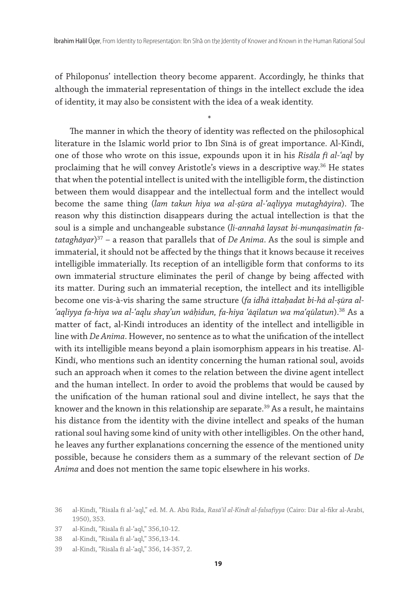of Philoponus' intellection theory become apparent. Accordingly, he thinks that although the immaterial representation of things in the intellect exclude the idea of identity, it may also be consistent with the idea of a weak identity.

\*

The manner in which the theory of identity was reflected on the philosophical literature in the Islamic world prior to Ibn Sīnā is of great importance. Al-Kindī, one of those who wrote on this issue, expounds upon it in his *Risāla fī al-ʿaql* by proclaiming that he will convey Aristotle's views in a descriptive way.<sup>36</sup> He states that when the potential intellect is united with the intelligible form, the distinction between them would disappear and the intellectual form and the intellect would become the same thing (*lam takun hiya wa al-ṣūra al-ʿaqliyya mutaghāyira*). The reason why this distinction disappears during the actual intellection is that the soul is a simple and unchangeable substance (*li-annahā laysat bi-munqasimatin fatataghāyar*) 37 – a reason that parallels that of *De Anima*. As the soul is simple and immaterial, it should not be affected by the things that it knows because it receives intelligible immaterially. Its reception of an intelligible form that conforms to its own immaterial structure eliminates the peril of change by being affected with its matter. During such an immaterial reception, the intellect and its intelligible become one vis-à-vis sharing the same structure (*fa idhā ittaḥadat bi-hā al-ṣūra al-ʿaqliyya fa-hiya wa al-ʿaqlu shayʾun wāḥidun, fa-hiya ʿāqilatun wa maʿqūlatun*).38 As a matter of fact, al-Kindī introduces an identity of the intellect and intelligible in line with *De Anima*. However, no sentence as to what the unification of the intellect with its intelligible means beyond a plain isomorphism appears in his treatise. Al-Kindī, who mentions such an identity concerning the human rational soul, avoids such an approach when it comes to the relation between the divine agent intellect and the human intellect. In order to avoid the problems that would be caused by the unification of the human rational soul and divine intellect, he says that the knower and the known in this relationship are separate.<sup>39</sup> As a result, he maintains his distance from the identity with the divine intellect and speaks of the human rational soul having some kind of unity with other intelligibles. On the other hand, he leaves any further explanations concerning the essence of the mentioned unity possible, because he considers them as a summary of the relevant section of *De Anima* and does not mention the same topic elsewhere in his works.

37 al-Kindī, "Risāla fī al-ʿaql," 356,10-12.

<sup>36</sup> al-Kindī, "Risāla fī al-ʿaql," ed. M. A. Abū Rīda, *Rasāʾil al-Kindī al-falsafiyya* (Cairo: Dār al-fikr al-Arabī, 1950), 353.

<sup>38</sup> al-Kindī, "Risāla fī al-ʿaql," 356,13-14.

<sup>39</sup> al-Kindī, "Risāla fī al-ʿaql," 356, 14-357, 2.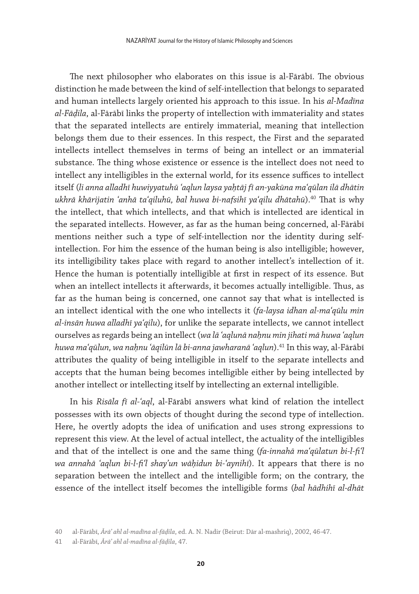The next philosopher who elaborates on this issue is al-Fārābī. The obvious distinction he made between the kind of self-intellection that belongs to separated and human intellects largely oriented his approach to this issue. In his *al-Madīna al-Fāḍila*, al-Fārābī links the property of intellection with immateriality and states that the separated intellects are entirely immaterial, meaning that intellection belongs them due to their essences. In this respect, the First and the separated intellects intellect themselves in terms of being an intellect or an immaterial substance. The thing whose existence or essence is the intellect does not need to intellect any intelligibles in the external world, for its essence suffices to intellect itself (*li anna alladhī huwiyyatuhū ʿaqlun laysa yaḥtāj fī an-yakūna maʿqūlan ilā dhātin ukhrā khārijatin ʿanhā taʿqiluhū, bal huwa bi-nafsihī yaʿqilu dhātahū*).40 That is why the intellect, that which intellects, and that which is intellected are identical in the separated intellects. However, as far as the human being concerned, al-Fārābī mentions neither such a type of self-intellection nor the identity during selfintellection. For him the essence of the human being is also intelligible; however, its intelligibility takes place with regard to another intellect's intellection of it. Hence the human is potentially intelligible at first in respect of its essence. But when an intellect intellects it afterwards, it becomes actually intelligible. Thus, as far as the human being is concerned, one cannot say that what is intellected is an intellect identical with the one who intellects it (*fa-laysa idhan al-maʿqūlu min al-insān huwa alladhī yaʿqilu*), for unlike the separate intellects, we cannot intellect ourselves as regards being an intellect (*wa lā ʿaqlunā naḥnu min jihati mā huwa ʿaqlun huwa maʿqūlun, wa naḥnu ʿāqilūn lā bi-anna jawharanā ʿaqlun*).41 In this way, al-Fārābī attributes the quality of being intelligible in itself to the separate intellects and accepts that the human being becomes intelligible either by being intellected by another intellect or intellecting itself by intellecting an external intelligible.

In his *Risāla fī al-ʿaql*, al-Fārābī answers what kind of relation the intellect possesses with its own objects of thought during the second type of intellection. Here, he overtly adopts the idea of unification and uses strong expressions to represent this view. At the level of actual intellect, the actuality of the intelligibles and that of the intellect is one and the same thing (*fa-innahā maʿqūlatun bi-l-fiʿl wa annahā ʿaqlun bi-l-fiʿl shayʾun wāḥidun bi-ʿaynihī*). It appears that there is no separation between the intellect and the intelligible form; on the contrary, the essence of the intellect itself becomes the intelligible forms (*bal hādhihī al-dhāt* 

<sup>40</sup> al-Fārābī, *Ārāʾ ahl al-madīna al-fāḍila*, ed. A. N. Nadir (Beirut: Dār al-mashriq), 2002, 46-47.

<sup>41</sup> al-Fārābī, *Ārāʾ ahl al-madīna al-fāḍila*, 47.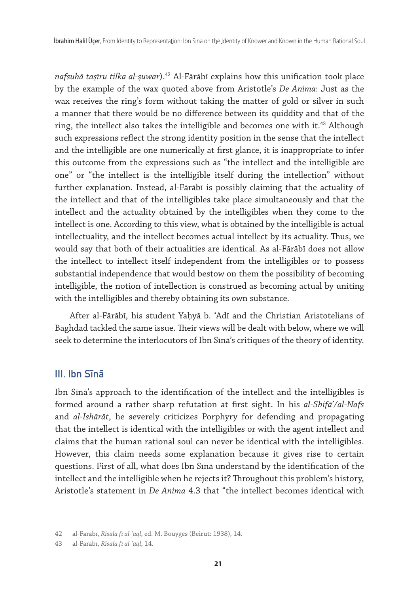*nafsuhā taṣīru tilka al-ṣuwar*).42 Al-Fārābī explains how this unification took place by the example of the wax quoted above from Aristotle's *De Anima*: Just as the wax receives the ring's form without taking the matter of gold or silver in such a manner that there would be no difference between its quiddity and that of the ring, the intellect also takes the intelligible and becomes one with it.<sup>43</sup> Although such expressions reflect the strong identity position in the sense that the intellect and the intelligible are one numerically at first glance, it is inappropriate to infer this outcome from the expressions such as "the intellect and the intelligible are one" or "the intellect is the intelligible itself during the intellection" without further explanation. Instead, al-Fārābī is possibly claiming that the actuality of the intellect and that of the intelligibles take place simultaneously and that the intellect and the actuality obtained by the intelligibles when they come to the intellect is one. According to this view, what is obtained by the intelligible is actual intellectuality, and the intellect becomes actual intellect by its actuality. Thus, we would say that both of their actualities are identical. As al-Fārābī does not allow the intellect to intellect itself independent from the intelligibles or to possess substantial independence that would bestow on them the possibility of becoming intelligible, the notion of intellection is construed as becoming actual by uniting with the intelligibles and thereby obtaining its own substance.

After al-Fārābī, his student Yaḥyā b. ʿAdī and the Christian Aristotelians of Baghdad tackled the same issue. Their views will be dealt with below, where we will seek to determine the interlocutors of Ibn Sīnā's critiques of the theory of identity.

# III. Ibn Sına

Ibn Sīnā's approach to the identification of the intellect and the intelligibles is formed around a rather sharp refutation at first sight. In his *al-Shifāʾ/al-Nafs* and *al-Ishārāt*, he severely criticizes Porphyry for defending and propagating that the intellect is identical with the intelligibles or with the agent intellect and claims that the human rational soul can never be identical with the intelligibles. However, this claim needs some explanation because it gives rise to certain questions. First of all, what does Ibn Sīnā understand by the identification of the intellect and the intelligible when he rejects it? Throughout this problem's history, Aristotle's statement in *De Anima* 4.3 that "the intellect becomes identical with

<sup>42</sup> al-Fārābī, *Risāla fī al-ʿaql*, ed. M. Bouyges (Beirut: 1938), 14.

<sup>43</sup> al-Fārābī, *Risāla fī al-ʿaql*, 14.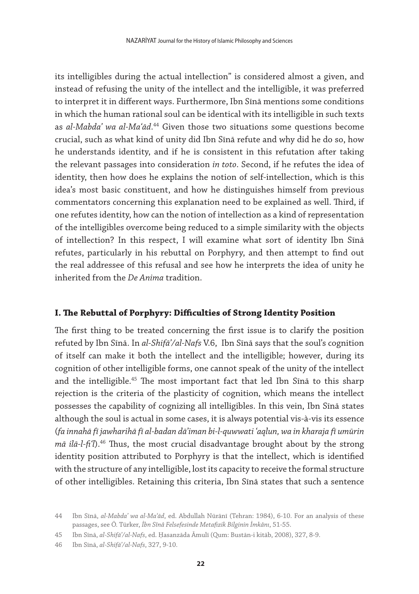its intelligibles during the actual intellection" is considered almost a given, and instead of refusing the unity of the intellect and the intelligible, it was preferred to interpret it in different ways. Furthermore, Ibn Sīnā mentions some conditions in which the human rational soul can be identical with its intelligible in such texts as *al-Mabdaʾ wa al-Maʿād*. 44 Given those two situations some questions become crucial, such as what kind of unity did Ibn Sīnā refute and why did he do so, how he understands identity, and if he is consistent in this refutation after taking the relevant passages into consideration *in toto*. Second, if he refutes the idea of identity, then how does he explains the notion of self-intellection, which is this idea's most basic constituent, and how he distinguishes himself from previous commentators concerning this explanation need to be explained as well. Third, if one refutes identity, how can the notion of intellection as a kind of representation of the intelligibles overcome being reduced to a simple similarity with the objects of intellection? In this respect, I will examine what sort of identity Ibn Sīnā refutes, particularly in his rebuttal on Porphyry, and then attempt to find out the real addressee of this refusal and see how he interprets the idea of unity he inherited from the *De Anima* tradition.

## **I. The Rebuttal of Porphyry: Difficulties of Strong Identity Position**

The first thing to be treated concerning the first issue is to clarify the position refuted by Ibn Sīnā. In *al-Shifāʾ/al-Nafs* V.6, Ibn Sīnā says that the soul's cognition of itself can make it both the intellect and the intelligible; however, during its cognition of other intelligible forms, one cannot speak of the unity of the intellect and the intelligible.<sup>45</sup> The most important fact that led Ibn Sīnā to this sharp rejection is the criteria of the plasticity of cognition, which means the intellect possesses the capability of cognizing all intelligibles. In this vein, Ibn Sīnā states although the soul is actual in some cases, it is always potential vis-à-vis its essence (*fa innahā fī jawharihā fī al-badan dāʾiman bi-l-quwwati ʿaqlun, wa in kharaja fī umūrin mā ilā-l-fiʿl*).46 Thus, the most crucial disadvantage brought about by the strong identity position attributed to Porphyry is that the intellect, which is identified with the structure of any intelligible, lost its capacity to receive the formal structure of other intelligibles. Retaining this criteria, Ibn Sīnā states that such a sentence

<sup>44</sup> Ibn Sīnā, *al-Mabdaʾ wa al-Maʿād*, ed. Abdullah Nūrānī (Tehran: 1984), 6-10. For an analysis of these passages, see Ö. Türker, *İbn Sînâ Felsefesinde Metafizik Bilginin İmkânı*, 51-55.

<sup>45</sup> Ibn Sīnā, *al-Shifāʾ/al-Nafs*, ed. Ḥasanzāda Āmulī (Qum: Bustān-i kitāb, 2008), 327, 8-9.

<sup>46</sup> Ibn Sīnā, *al-Shifāʾ/al-Nafs*, 327, 9-10.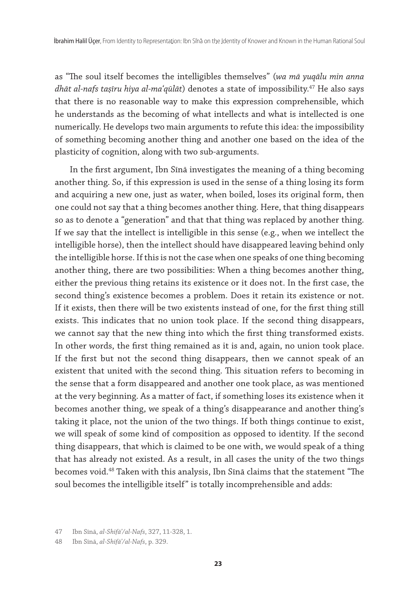as "The soul itself becomes the intelligibles themselves" (*wa mā yuqālu min anna dhāt al-nafs taṣīru hiya al-maʿqūlāt*) denotes a state of impossibility.47 He also says that there is no reasonable way to make this expression comprehensible, which he understands as the becoming of what intellects and what is intellected is one numerically. He develops two main arguments to refute this idea: the impossibility of something becoming another thing and another one based on the idea of the plasticity of cognition, along with two sub-arguments.

In the first argument, Ibn Sīnā investigates the meaning of a thing becoming another thing. So, if this expression is used in the sense of a thing losing its form and acquiring a new one, just as water, when boiled, loses its original form, then one could not say that a thing becomes another thing. Here, that thing disappears so as to denote a "generation" and that that thing was replaced by another thing. If we say that the intellect is intelligible in this sense (e.g., when we intellect the intelligible horse), then the intellect should have disappeared leaving behind only the intelligible horse. If this is not the case when one speaks of one thing becoming another thing, there are two possibilities: When a thing becomes another thing, either the previous thing retains its existence or it does not. In the first case, the second thing's existence becomes a problem. Does it retain its existence or not. If it exists, then there will be two existents instead of one, for the first thing still exists. This indicates that no union took place. If the second thing disappears, we cannot say that the new thing into which the first thing transformed exists. In other words, the first thing remained as it is and, again, no union took place. If the first but not the second thing disappears, then we cannot speak of an existent that united with the second thing. This situation refers to becoming in the sense that a form disappeared and another one took place, as was mentioned at the very beginning. As a matter of fact, if something loses its existence when it becomes another thing, we speak of a thing's disappearance and another thing's taking it place, not the union of the two things. If both things continue to exist, we will speak of some kind of composition as opposed to identity. If the second thing disappears, that which is claimed to be one with, we would speak of a thing that has already not existed. As a result, in all cases the unity of the two things becomes void.48 Taken with this analysis, Ibn Sīnā claims that the statement "The soul becomes the intelligible itself" is totally incomprehensible and adds:

48 Ibn Sīnā, *al-Shifāʾ/al-Nafs*, p. 329.

<sup>47</sup> Ibn Sīnā, *al-Shifāʾ/al-Nafs*, 327, 11-328, 1.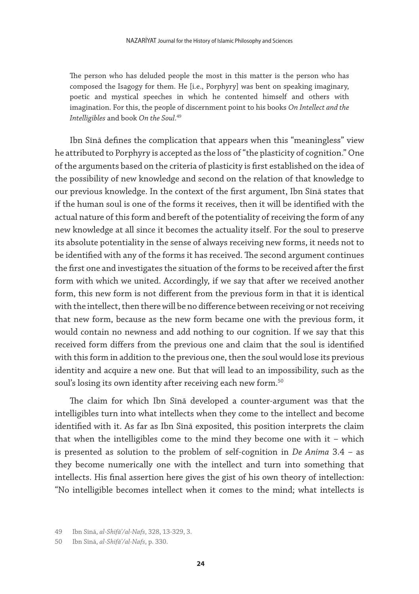The person who has deluded people the most in this matter is the person who has composed the Isagogy for them. He [i.e., Porphyry] was bent on speaking imaginary, poetic and mystical speeches in which he contented himself and others with imagination. For this, the people of discernment point to his books *On Intellect and the Intelligibles* and book *On the Soul*. 49

Ibn Sīnā defines the complication that appears when this "meaningless" view he attributed to Porphyry is accepted as the loss of "the plasticity of cognition." One of the arguments based on the criteria of plasticity is first established on the idea of the possibility of new knowledge and second on the relation of that knowledge to our previous knowledge. In the context of the first argument, Ibn Sīnā states that if the human soul is one of the forms it receives, then it will be identified with the actual nature of this form and bereft of the potentiality of receiving the form of any new knowledge at all since it becomes the actuality itself. For the soul to preserve its absolute potentiality in the sense of always receiving new forms, it needs not to be identified with any of the forms it has received. The second argument continues the first one and investigates the situation of the forms to be received after the first form with which we united. Accordingly, if we say that after we received another form, this new form is not different from the previous form in that it is identical with the intellect, then there will be no difference between receiving or not receiving that new form, because as the new form became one with the previous form, it would contain no newness and add nothing to our cognition. If we say that this received form differs from the previous one and claim that the soul is identified with this form in addition to the previous one, then the soul would lose its previous identity and acquire a new one. But that will lead to an impossibility, such as the soul's losing its own identity after receiving each new form.<sup>50</sup>

The claim for which Ibn Sīnā developed a counter-argument was that the intelligibles turn into what intellects when they come to the intellect and become identified with it. As far as Ibn Sīnā exposited, this position interprets the claim that when the intelligibles come to the mind they become one with it – which is presented as solution to the problem of self-cognition in *De Anima* 3.4 – as they become numerically one with the intellect and turn into something that intellects. His final assertion here gives the gist of his own theory of intellection: "No intelligible becomes intellect when it comes to the mind; what intellects is

<sup>49</sup> Ibn Sīnā, *al-Shifāʾ/al-Nafs*, 328, 13-329, 3.

<sup>50</sup> Ibn Sīnā, *al-Shifāʾ/al-Nafs*, p. 330.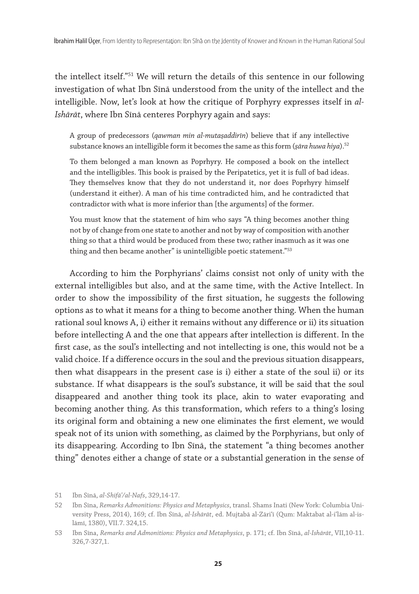the intellect itself."51 We will return the details of this sentence in our following investigation of what Ibn Sīnā understood from the unity of the intellect and the intelligible. Now, let's look at how the critique of Porphyry expresses itself in *al-Ishārāt*, where Ibn Sīnā centeres Porphyry again and says:

A group of predecessors (*qawman min al-mutaṣaddirīn*) believe that if any intellective substance knows an intelligible form it becomes the same as this form (*ṣāra huwa hiya*).52

To them belonged a man known as Poprhyry. He composed a book on the intellect and the intelligibles. This book is praised by the Peripatetics, yet it is full of bad ideas. They themselves know that they do not understand it, nor does Poprhyry himself (understand it either). A man of his time contradicted him, and he contradicted that contradictor with what is more inferior than [the arguments] of the former.

You must know that the statement of him who says "A thing becomes another thing not by of change from one state to another and not by way of composition with another thing so that a third would be produced from these two; rather inasmuch as it was one thing and then became another" is unintelligible poetic statement."<sup>53</sup>

According to him the Porphyrians' claims consist not only of unity with the external intelligibles but also, and at the same time, with the Active Intellect. In order to show the impossibility of the first situation, he suggests the following options as to what it means for a thing to become another thing. When the human rational soul knows A, i) either it remains without any difference or ii) its situation before intellecting A and the one that appears after intellection is different. In the first case, as the soul's intellecting and not intellecting is one, this would not be a valid choice. If a difference occurs in the soul and the previous situation disappears, then what disappears in the present case is i) either a state of the soul ii) or its substance. If what disappears is the soul's substance, it will be said that the soul disappeared and another thing took its place, akin to water evaporating and becoming another thing. As this transformation, which refers to a thing's losing its original form and obtaining a new one eliminates the first element, we would speak not of its union with something, as claimed by the Porphyrians, but only of its disappearing. According to Ibn Sīnā, the statement "a thing becomes another thing" denotes either a change of state or a substantial generation in the sense of

<sup>51</sup> Ibn Sīnā, *al-Shifāʾ/al-Nafs*, 329,14-17.

<sup>52</sup> Ibn Sīna, *Remarks Admonitions: Physics and Metaphysics*, transl. Shams Inati (New York: Columbia University Press, 2014), 169; cf. Ibn Sīnā, *al-Ishārāt*, ed. Mujtabā al-Zāri'ī (Qum: Maktabat al-i'lām al-islāmī, 1380), VII.7. 324,15.

<sup>53</sup> Ibn Sīna, *Remarks and Admonitions: Physics and Metaphysics*, p. 171; cf. Ibn Sīnā, *al-Ishārāt*, VII,10-11. 326,7-327,1.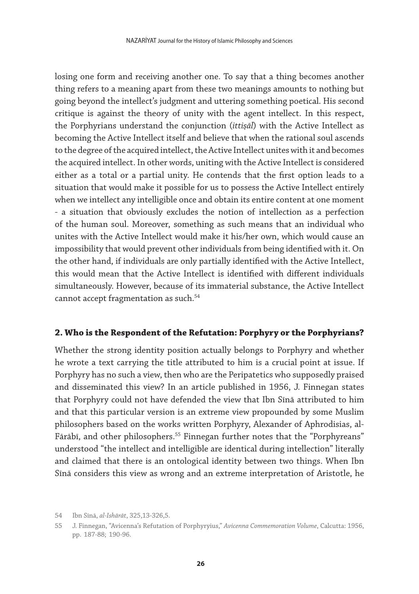losing one form and receiving another one. To say that a thing becomes another thing refers to a meaning apart from these two meanings amounts to nothing but going beyond the intellect's judgment and uttering something poetical. His second critique is against the theory of unity with the agent intellect. In this respect, the Porphyrians understand the conjunction (*ittiṣāl*) with the Active Intellect as becoming the Active Intellect itself and believe that when the rational soul ascends to the degree of the acquired intellect, the Active Intellect unites with it and becomes the acquired intellect. In other words, uniting with the Active Intellect is considered either as a total or a partial unity. He contends that the first option leads to a situation that would make it possible for us to possess the Active Intellect entirely when we intellect any intelligible once and obtain its entire content at one moment - a situation that obviously excludes the notion of intellection as a perfection of the human soul. Moreover, something as such means that an individual who unites with the Active Intellect would make it his/her own, which would cause an impossibility that would prevent other individuals from being identified with it. On the other hand, if individuals are only partially identified with the Active Intellect, this would mean that the Active Intellect is identified with different individuals simultaneously. However, because of its immaterial substance, the Active Intellect cannot accept fragmentation as such.<sup>54</sup>

## **2. Who is the Respondent of the Refutation: Porphyry or the Porphyrians?**

Whether the strong identity position actually belongs to Porphyry and whether he wrote a text carrying the title attributed to him is a crucial point at issue. If Porphyry has no such a view, then who are the Peripatetics who supposedly praised and disseminated this view? In an article published in 1956, J. Finnegan states that Porphyry could not have defended the view that Ibn Sīnā attributed to him and that this particular version is an extreme view propounded by some Muslim philosophers based on the works written Porphyry, Alexander of Aphrodisias, al-Fārābī, and other philosophers.<sup>55</sup> Finnegan further notes that the "Porphyreans" understood "the intellect and intelligible are identical during intellection" literally and claimed that there is an ontological identity between two things. When Ibn Sīnā considers this view as wrong and an extreme interpretation of Aristotle, he

<sup>54</sup> Ibn Sīnā, *al-Ishārāt*, 325,13-326,5.

<sup>55</sup> J. Finnegan, "Avicenna's Refutation of Porphyryius," *Avicenna Commemoration Volume*, Calcutta: 1956, pp. 187-88; 190-96.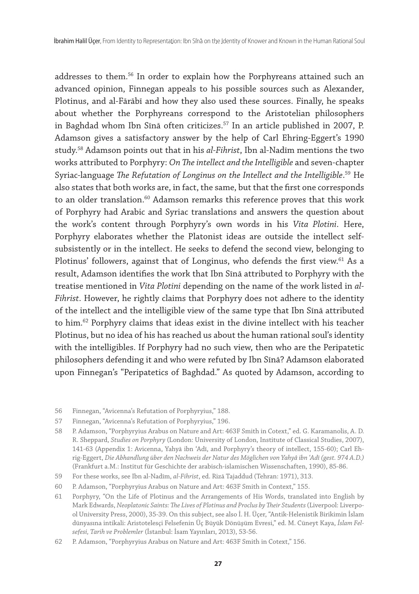addresses to them.56 In order to explain how the Porphyreans attained such an advanced opinion, Finnegan appeals to his possible sources such as Alexander, Plotinus, and al-Fārābī and how they also used these sources. Finally, he speaks about whether the Porphyreans correspond to the Aristotelian philosophers in Baghdad whom Ibn Sīnā often criticizes.57 In an article published in 2007, P. Adamson gives a satisfactory answer by the help of Carl Ehring-Eggert's 1990 study.58 Adamson points out that in his *al-Fihrist*, Ibn al-Nadīm mentions the two works attributed to Porphyry: *On The intellect and the Intelligible* and seven-chapter Syriac-language *The Refutation of Longinus on the Intellect and the Intelligible*. 59 He also states that both works are, in fact, the same, but that the first one corresponds to an older translation.<sup>60</sup> Adamson remarks this reference proves that this work of Porphyry had Arabic and Syriac translations and answers the question about the work's content through Porphyry's own words in his *Vita Plotini*. Here, Porphyry elaborates whether the Platonist ideas are outside the intellect selfsubsistently or in the intellect. He seeks to defend the second view, belonging to Plotinus' followers, against that of Longinus, who defends the first view. $61$  As a result, Adamson identifies the work that Ibn Sīnā attributed to Porphyry with the treatise mentioned in *Vita Plotini* depending on the name of the work listed in *al-Fihrist*. However, he rightly claims that Porphyry does not adhere to the identity of the intellect and the intelligible view of the same type that Ibn Sīnā attributed to him.<sup>62</sup> Porphyry claims that ideas exist in the divine intellect with his teacher Plotinus, but no idea of his has reached us about the human rational soul's identity with the intelligibles. If Porphyry had no such view, then who are the Peripatetic philosophers defending it and who were refuted by Ibn Sīnā? Adamson elaborated upon Finnegan's "Peripatetics of Baghdad." As quoted by Adamson, according to

- 56 Finnegan, "Avicenna's Refutation of Porphyryius," 188.
- 57 Finnegan, "Avicenna's Refutation of Porphyryius," 196.
- 58 P. Adamson, "Porphyryius Arabus on Nature and Art: 463F Smith in Cotext," ed. G. Karamanolis, A. D. R. Sheppard, *Studies on Porphyry* (London: University of London, Institute of Classical Studies, 2007), 141-63 (Appendix 1: Avicenna, Yahyā ibn ʿAdī, and Porphyry's theory of intellect, 155-60); Carl Ehrig-Eggert, *Die Abhandlung über den Nachweis der Natur des Möglichen von Yahyâ ibn ʿAdī (gest. 974 A.D.)*  (Frankfurt a.M.: Institut für Geschichte der arabisch-islamischen Wissenschaften, 1990), 85-86.
- 59 For these works, see Ibn al-Nadīm, *al-Fihrist*, ed. Rizā Tajaddud (Tehran: 1971), 313.
- 60 P. Adamson, "Porphyryius Arabus on Nature and Art: 463F Smith in Context," 155.
- 61 Porphyry, "On the Life of Plotinus and the Arrangements of His Words, translated into English by Mark Edwards, *Neoplatonic Saints: The Lives of Plotinus and Proclus by Their Students* (Liverpool: Liverpool University Press, 2000), 35-39. On this subject, see also İ. H. Üçer, "Antik-Helenistik Birikimin İslam dünyasına intikali: Aristotelesçi Felsefenin Üç Büyük Dönüşüm Evresi," ed. M. Cüneyt Kaya, *İslam Felsefesi, Tarih ve Problemler* (İstanbul: İsam Yayınları, 2013), 53-56.
- 62 P. Adamson, "Porphyryius Arabus on Nature and Art: 463F Smith in Cotext," 156.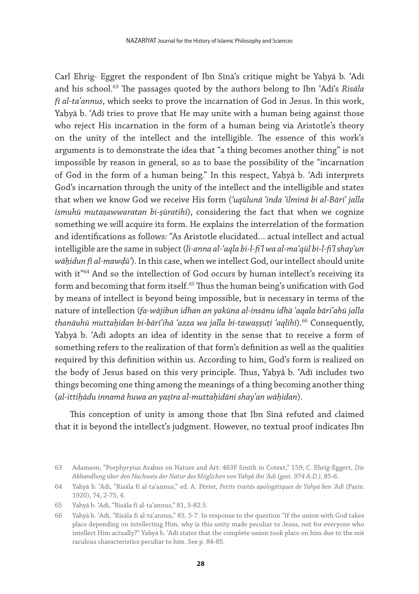Carl Ehrig- Eggret the respondent of Ibn Sīnā's critique might be Yaḥyā b. 'Adī and his school.63 The passages quoted by the authors belong to Ibn ʿAdī's *Risāla fī al-taʾannus*, which seeks to prove the incarnation of God in Jesus. In this work, Yaḥyā b. ʿAdī tries to prove that He may unite with a human being against those who reject His incarnation in the form of a human being via Aristotle's theory on the unity of the intellect and the intelligible. The essence of this work's arguments is to demonstrate the idea that "a thing becomes another thing" is not impossible by reason in general, so as to base the possibility of the "incarnation of God in the form of a human being." In this respect, Yaḥyā b. ʿAdī interprets God's incarnation through the unity of the intellect and the intelligible and states that when we know God we receive His form (*ʿuqūlunā ʿinda ʿilminā bi al-Bāriʾ jalla ismuhū mutaṣawwaratan bi-ṣūratihī*), considering the fact that when we cognize something we will acquire its form. He explains the interrelation of the formation and identifications as follows: "As Aristotle elucidated… actual intellect and actual intelligible are the same in subject (*li-anna al-ʿaqla bi-l-fiʿl wa al-maʿqūl bi-l-fiʿl shayʾun wāḥidun fī al-mawḍūʿ*). In this case, when we intellect God, our intellect should unite with it"<sup>64</sup> And so the intellection of God occurs by human intellect's receiving its form and becoming that form itself.<sup>65</sup> Thus the human being's unification with God by means of intellect is beyond being impossible, but is necessary in terms of the nature of intellection (*fa-wājibun idhan an yakūna al-insānu idhā ʿaqala bāriʾahū jalla thanāuhū muttaḥidan bi-bāriʾihā ʿazza wa jalla bi-tawaṣṣuṭi ʿaqlihī*).66 Consequently, Yaḥyā b. ʿAdī adopts an idea of identity in the sense that to receive a form of something refers to the realization of that form's definition as well as the qualities required by this definition within us. According to him, God's form is realized on the body of Jesus based on this very principle. Thus, Yaḥyā b. ʿAdī includes two things becoming one thing among the meanings of a thing becoming another thing (*al-ittiḥādu innamā huwa an yaṣīra al-muttaḥidāni shayʾan wāḥidan*).

This conception of unity is among those that Ibn Sīnā refuted and claimed that it is beyond the intellect's judgment. However, no textual proof indicates Ibn

<sup>63</sup> Adamson, "Porphyryius Arabus on Nature and Art: 463F Smith in Cotext," 159; C. Ehrig-Eggert, *Die Abhandlung über den Nachweis der Natur des Möglichen von Yahyâ ibn 'Adı (gest. 974 A.D.)*, 85-6.

<sup>64</sup> Yahyā b. ʿAdī, "Risāla fī al-taʾannus," ed. A. Périer, *Petits traités apologétiques de Yahyā ben 'Adi* (Paris: 1920), 74, 2-75, 4.

<sup>65</sup> Yahyā b. ʿAdī, "Risāla fī al-taʾannus," 81, 5-82.5.

<sup>66</sup> Yahyā b. ʿAdī, "Risāla fī al-taʾannus," 83, 5-7. In response to the question "If the union with God takes place depending on intellecting Him, why is this unity made peculiar to Jesus, not for everyone who intellect Him actually?" Yahyā b. 'Adī states that the complete union took place on him due to the miiraculous characteristics peculiar to him. See p. 84-85.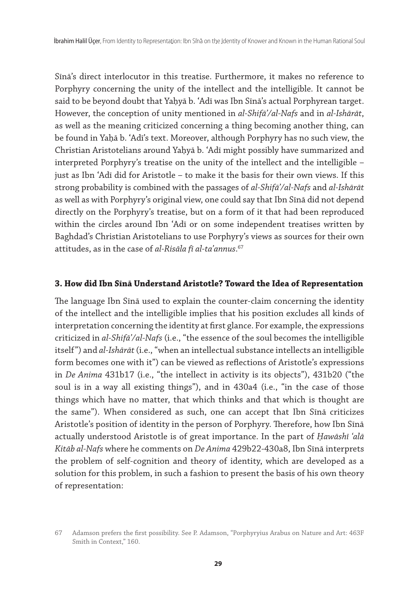Sīnā's direct interlocutor in this treatise. Furthermore, it makes no reference to Porphyry concerning the unity of the intellect and the intelligible. It cannot be said to be beyond doubt that Yaḥyā b. 'Adī was Ibn Sīnā's actual Porphyrean target. However, the conception of unity mentioned in *al-Shifāʾ/al-Nafs* and in *al-Ishārāt*, as well as the meaning criticized concerning a thing becoming another thing, can be found in Yaḥā b. ʿAdī's text. Moreover, although Porphyry has no such view, the Christian Aristotelians around Yaḥyā b. ʿAdī might possibly have summarized and interpreted Porphyry's treatise on the unity of the intellect and the intelligible – just as Ibn ʿAdī did for Aristotle – to make it the basis for their own views. If this strong probability is combined with the passages of *al-Shifāʾ/al-Nafs* and *al-Ishārāt* as well as with Porphyry's original view, one could say that Ibn Sīnā did not depend directly on the Porphyry's treatise, but on a form of it that had been reproduced within the circles around Ibn ʿAdī or on some independent treatises written by Baghdad's Christian Aristotelians to use Porphyry's views as sources for their own attitudes, as in the case of *al-Risāla fī al-taʾannus*. 67

## **3. How did Ibn Sīnā Understand Aristotle? Toward the Idea of Representation**

The language Ibn Sīnā used to explain the counter-claim concerning the identity of the intellect and the intelligible implies that his position excludes all kinds of interpretation concerning the identity at first glance. For example, the expressions criticized in *al-Shifāʾ/al-Nafs* (i.e., "the essence of the soul becomes the intelligible itself") and *al-Ishārāt* (i.e., "when an intellectual substance intellects an intelligible form becomes one with it") can be viewed as reflections of Aristotle's expressions in *De Anima* 431b17 (i.e., "the intellect in activity is its objects"), 431b20 ("the soul is in a way all existing things"), and in 430a4 (i.e., "in the case of those things which have no matter, that which thinks and that which is thought are the same"). When considered as such, one can accept that Ibn Sīnā criticizes Aristotle's position of identity in the person of Porphyry. Therefore, how Ibn Sīnā actually understood Aristotle is of great importance. In the part of *Ḥawāshī ʿalā Kitāb al-Nafs* where he comments on *De Anima* 429b22-430a8, Ibn Sīnā interprets the problem of self-cognition and theory of identity, which are developed as a solution for this problem, in such a fashion to present the basis of his own theory of representation:

<sup>67</sup> Adamson prefers the first possibility. See P. Adamson, "Porphyryius Arabus on Nature and Art: 463F Smith in Context," 160.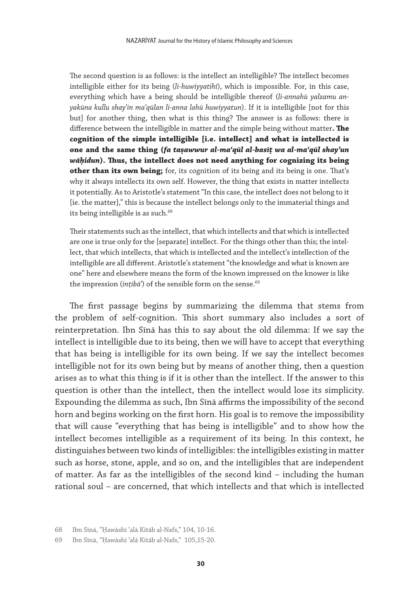The second question is as follows: is the intellect an intelligible? The intellect becomes intelligible either for its being (*li-huwiyyatihī*), which is impossible. For, in this case, everything which have a being should be intelligible thereof (*li-annahū yalzamu anyakūna kullu shayʾin maʿqūlan li-anna lahū huwiyyatun*). If it is intelligible [not for this but] for another thing, then what is this thing? The answer is as follows: there is difference between the intelligible in matter and the simple being without matter**. The cognition of the simple intelligible [i.e. intellect] and what is intellected is one and the same thing (fa taṣawwur al-maʿqūl al-basīṭ wa al-maʿqūl shayʾun wāḥidun). Thus, the intellect does not need anything for cognizing its being other than its own being;** for, its cognition of its being and its being is one. That's why it always intellects its own self. However, the thing that exists in matter intellects it potentially. As to Aristotle's statement "In this case, the intellect does not belong to it [ie. the matter]," this is because the intellect belongs only to the immaterial things and its being intelligible is as such.<sup>68</sup>

Their statements such as the intellect, that which intellects and that which is intellected are one is true only for the [separate] intellect. For the things other than this; the intellect, that which intellects, that which is intellected and the intellect's intellection of the intelligible are all different. Aristotle's statement "the knowledge and what is known are one" here and elsewhere means the form of the known impressed on the knower is like the impression (*ințibā*<sup>'</sup>) of the sensible form on the sense.<sup>69</sup>

The first passage begins by summarizing the dilemma that stems from the problem of self-cognition. This short summary also includes a sort of reinterpretation. Ibn Sīnā has this to say about the old dilemma: If we say the intellect is intelligible due to its being, then we will have to accept that everything that has being is intelligible for its own being. If we say the intellect becomes intelligible not for its own being but by means of another thing, then a question arises as to what this thing is if it is other than the intellect. If the answer to this question is other than the intellect, then the intellect would lose its simplicity. Expounding the dilemma as such, Ibn Sīnā affirms the impossibility of the second horn and begins working on the first horn. His goal is to remove the impossibility that will cause "everything that has being is intelligible" and to show how the intellect becomes intelligible as a requirement of its being. In this context, he distinguishes between two kinds of intelligibles: the intelligibles existing in matter such as horse, stone, apple, and so on, and the intelligibles that are independent of matter. As far as the intelligibles of the second kind – including the human rational soul – are concerned, that which intellects and that which is intellected

<sup>68</sup> Ibn Sīnā, "Ḥawāshī ʿalā Kitāb al-Nafs," 104, 10-16.

<sup>69</sup> Ibn Sīnā, "Ḥawāshī ʿalā Kitāb al-Nafs," 105,15-20.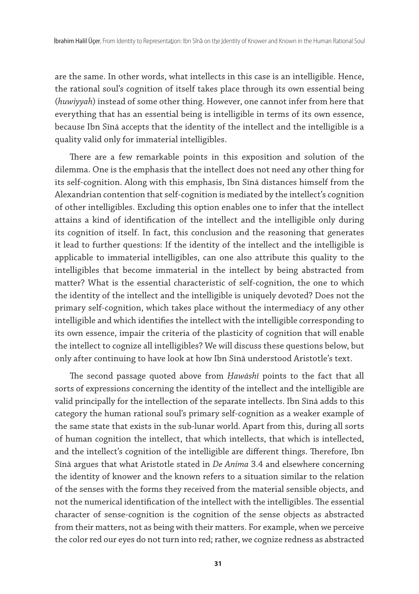are the same. In other words, what intellects in this case is an intelligible. Hence, the rational soul's cognition of itself takes place through its own essential being (*huwiyyah*) instead of some other thing. However, one cannot infer from here that everything that has an essential being is intelligible in terms of its own essence, because Ibn Sīnā accepts that the identity of the intellect and the intelligible is a quality valid only for immaterial intelligibles.

There are a few remarkable points in this exposition and solution of the dilemma. One is the emphasis that the intellect does not need any other thing for its self-cognition. Along with this emphasis, Ibn Sīnā distances himself from the Alexandrian contention that self-cognition is mediated by the intellect's cognition of other intelligibles. Excluding this option enables one to infer that the intellect attains a kind of identification of the intellect and the intelligible only during its cognition of itself. In fact, this conclusion and the reasoning that generates it lead to further questions: If the identity of the intellect and the intelligible is applicable to immaterial intelligibles, can one also attribute this quality to the intelligibles that become immaterial in the intellect by being abstracted from matter? What is the essential characteristic of self-cognition, the one to which the identity of the intellect and the intelligible is uniquely devoted? Does not the primary self-cognition, which takes place without the intermediacy of any other intelligible and which identifies the intellect with the intelligible corresponding to its own essence, impair the criteria of the plasticity of cognition that will enable the intellect to cognize all intelligibles? We will discuss these questions below, but only after continuing to have look at how Ibn Sīnā understood Aristotle's text.

The second passage quoted above from *Ḥawāshī* points to the fact that all sorts of expressions concerning the identity of the intellect and the intelligible are valid principally for the intellection of the separate intellects. Ibn Sīnā adds to this category the human rational soul's primary self-cognition as a weaker example of the same state that exists in the sub-lunar world. Apart from this, during all sorts of human cognition the intellect, that which intellects, that which is intellected, and the intellect's cognition of the intelligible are different things. Therefore, Ibn Sīnā argues that what Aristotle stated in *De Anima* 3.4 and elsewhere concerning the identity of knower and the known refers to a situation similar to the relation of the senses with the forms they received from the material sensible objects, and not the numerical identification of the intellect with the intelligibles. The essential character of sense-cognition is the cognition of the sense objects as abstracted from their matters, not as being with their matters. For example, when we perceive the color red our eyes do not turn into red; rather, we cognize redness as abstracted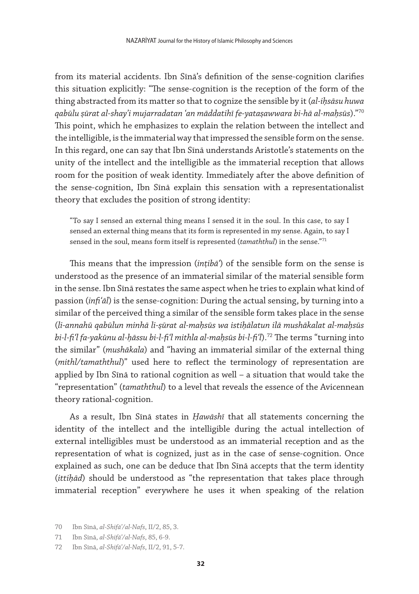from its material accidents. Ibn Sīnā's definition of the sense-cognition clarifies this situation explicitly: "The sense-cognition is the reception of the form of the thing abstracted from its matter so that to cognize the sensible by it (*al-iḥsāsu huwa qabūlu ṣūrat al-shayʾi mujarradatan ʿan māddatihī fe-yataṣawwara bi-hā al-maḥsūs*)."70 This point, which he emphasizes to explain the relation between the intellect and the intelligible, is the immaterial way that impressed the sensible form on the sense. In this regard, one can say that Ibn Sīnā understands Aristotle's statements on the unity of the intellect and the intelligible as the immaterial reception that allows room for the position of weak identity. Immediately after the above definition of the sense-cognition, Ibn Sīnā explain this sensation with a representationalist theory that excludes the position of strong identity:

"To say I sensed an external thing means I sensed it in the soul. In this case, to say I sensed an external thing means that its form is represented in my sense. Again, to say I sensed in the soul, means form itself is represented (*tamaththul*) in the sense."71

This means that the impression (*inṭibāʿ*) of the sensible form on the sense is understood as the presence of an immaterial similar of the material sensible form in the sense. Ibn Sīnā restates the same aspect when he tries to explain what kind of passion (*infiʿāl*) is the sense-cognition: During the actual sensing, by turning into a similar of the perceived thing a similar of the sensible form takes place in the sense (*li-annahū qabūlun minhā li-ṣūrat al-maḥsūs wa istiḥālatun ilā mushākalat al-maḥsūs bi-l-fiʿl fa-yakūnu al-ḥāssu bi-l-fiʿl mithla al-maḥsūs bi-l-fiʿl*).72 The terms "turning into the similar" (*mushākala*) and "having an immaterial similar of the external thing (*mithl/tamaththul*)" used here to reflect the terminology of representation are applied by Ibn Sīnā to rational cognition as well – a situation that would take the "representation" (*tamaththul*) to a level that reveals the essence of the Avicennean theory rational-cognition.

As a result, Ibn Sīnā states in *Ḥawāshī* that all statements concerning the identity of the intellect and the intelligible during the actual intellection of external intelligibles must be understood as an immaterial reception and as the representation of what is cognized, just as in the case of sense-cognition. Once explained as such, one can be deduce that Ibn Sīnā accepts that the term identity (*ittiḥād*) should be understood as "the representation that takes place through immaterial reception" everywhere he uses it when speaking of the relation

<sup>70</sup> Ibn Sīnā, *al-Shifāʾ/al-Nafs*, II/2, 85, 3.

<sup>71</sup> Ibn Sīnā, *al-Shifāʾ/al-Nafs*, 85, 6-9.

<sup>72</sup> Ibn Sīnā, *al-Shifāʾ/al-Nafs*, II/2, 91, 5-7.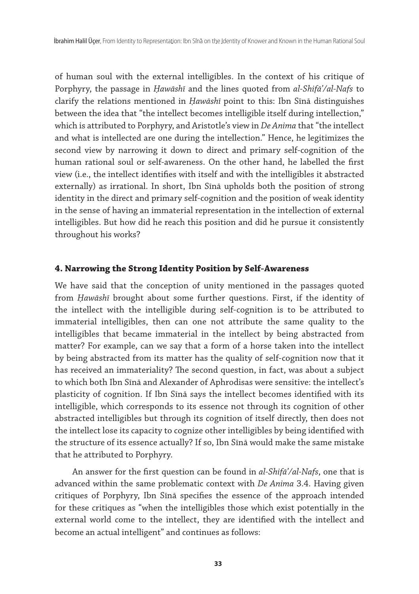of human soul with the external intelligibles. In the context of his critique of Porphyry, the passage in *Ḥawāshī* and the lines quoted from *al-Shifāʾ/al-Nafs* to clarify the relations mentioned in *Ḥawāshī* point to this: Ibn Sīnā distinguishes between the idea that "the intellect becomes intelligible itself during intellection," which is attributed to Porphyry, and Aristotle's view in *De Anima* that "the intellect and what is intellected are one during the intellection." Hence, he legitimizes the second view by narrowing it down to direct and primary self-cognition of the human rational soul or self-awareness. On the other hand, he labelled the first view (i.e., the intellect identifies with itself and with the intelligibles it abstracted externally) as irrational. In short, Ibn Sīnā upholds both the position of strong identity in the direct and primary self-cognition and the position of weak identity in the sense of having an immaterial representation in the intellection of external intelligibles. But how did he reach this position and did he pursue it consistently throughout his works?

## **4. Narrowing the Strong Identity Position by Self-Awareness**

We have said that the conception of unity mentioned in the passages quoted from *Ḥawāshī* brought about some further questions. First, if the identity of the intellect with the intelligible during self-cognition is to be attributed to immaterial intelligibles, then can one not attribute the same quality to the intelligibles that became immaterial in the intellect by being abstracted from matter? For example, can we say that a form of a horse taken into the intellect by being abstracted from its matter has the quality of self-cognition now that it has received an immateriality? The second question, in fact, was about a subject to which both Ibn Sīnā and Alexander of Aphrodisas were sensitive: the intellect's plasticity of cognition. If Ibn Sīnā says the intellect becomes identified with its intelligible, which corresponds to its essence not through its cognition of other abstracted intelligibles but through its cognition of itself directly, then does not the intellect lose its capacity to cognize other intelligibles by being identified with the structure of its essence actually? If so, Ibn Sīnā would make the same mistake that he attributed to Porphyry.

 An answer for the first question can be found in *al-Shifāʾ/al-Nafs*, one that is advanced within the same problematic context with *De Anima* 3.4. Having given critiques of Porphyry, Ibn Sīnā specifies the essence of the approach intended for these critiques as "when the intelligibles those which exist potentially in the external world come to the intellect, they are identified with the intellect and become an actual intelligent" and continues as follows: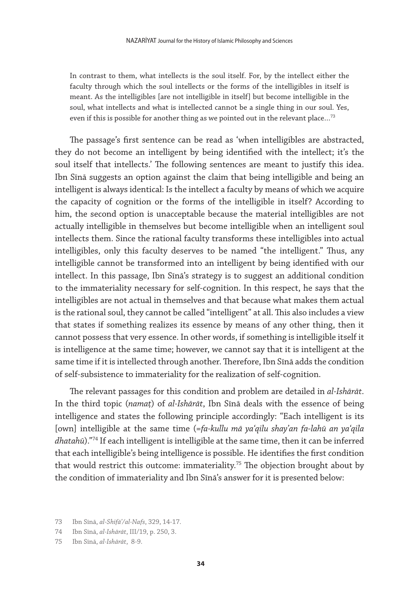In contrast to them, what intellects is the soul itself. For, by the intellect either the faculty through which the soul intellects or the forms of the intelligibles in itself is meant. As the intelligibles [are not intelligible in itself] but become intelligible in the soul, what intellects and what is intellected cannot be a single thing in our soul. Yes, even if this is possible for another thing as we pointed out in the relevant place...<sup>73</sup>

The passage's first sentence can be read as 'when intelligibles are abstracted, they do not become an intelligent by being identified with the intellect; it's the soul itself that intellects.' The following sentences are meant to justify this idea. Ibn Sīnā suggests an option against the claim that being intelligible and being an intelligent is always identical: Is the intellect a faculty by means of which we acquire the capacity of cognition or the forms of the intelligible in itself? According to him, the second option is unacceptable because the material intelligibles are not actually intelligible in themselves but become intelligible when an intelligent soul intellects them. Since the rational faculty transforms these intelligibles into actual intelligibles, only this faculty deserves to be named "the intelligent." Thus, any intelligible cannot be transformed into an intelligent by being identified with our intellect. In this passage, Ibn Sīnā's strategy is to suggest an additional condition to the immateriality necessary for self-cognition. In this respect, he says that the intelligibles are not actual in themselves and that because what makes them actual is the rational soul, they cannot be called "intelligent" at all. This also includes a view that states if something realizes its essence by means of any other thing, then it cannot possess that very essence. In other words, if something is intelligible itself it is intelligence at the same time; however, we cannot say that it is intelligent at the same time if it is intellected through another. Therefore, Ibn Sīnā adds the condition of self-subsistence to immateriality for the realization of self-cognition.

The relevant passages for this condition and problem are detailed in *al-Ishārāt*. In the third topic (*namaṭ*) of *al-Ishārāt*, Ibn Sīnā deals with the essence of being intelligence and states the following principle accordingly: "Each intelligent is its [own] intelligible at the same time (*=fa-kullu mā yaʿqilu shayʾan fa-lahū an yaʿqila dhatahū*)."74 If each intelligent is intelligible at the same time, then it can be inferred that each intelligible's being intelligence is possible. He identifies the first condition that would restrict this outcome: immateriality.<sup>75</sup> The objection brought about by the condition of immateriality and Ibn Sīnā's answer for it is presented below:

<sup>73</sup> Ibn Sīnā, *al-Shifāʾ/al-Nafs*, 329, 14-17.

<sup>74</sup> Ibn Sīnā, *al-Ishārāt*, III/19, p. 250, 3.

<sup>75</sup> Ibn Sīnā, *al-Ishārāt*, 8-9.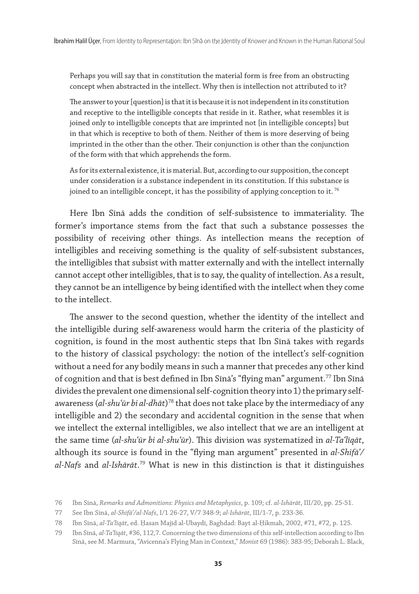Perhaps you will say that in constitution the material form is free from an obstructing concept when abstracted in the intellect. Why then is intellection not attributed to it?

The answer to your [question] is that it is because it is not independent in its constitution and receptive to the intelligible concepts that reside in it. Rather, what resembles it is joined only to intelligible concepts that are imprinted not [in intelligible concepts] but in that which is receptive to both of them. Neither of them is more deserving of being imprinted in the other than the other. Their conjunction is other than the conjunction of the form with that which apprehends the form.

As for its external existence, it is material. But, according to our supposition, the concept under consideration is a substance independent in its constitution. If this substance is joined to an intelligible concept, it has the possibility of applying conception to it.<sup>76</sup>

Here Ibn Sīnā adds the condition of self-subsistence to immateriality. The former's importance stems from the fact that such a substance possesses the possibility of receiving other things. As intellection means the reception of intelligibles and receiving something is the quality of self-subsistent substances, the intelligibles that subsist with matter externally and with the intellect internally cannot accept other intelligibles, that is to say, the quality of intellection. As a result, they cannot be an intelligence by being identified with the intellect when they come to the intellect.

The answer to the second question, whether the identity of the intellect and the intelligible during self-awareness would harm the criteria of the plasticity of cognition, is found in the most authentic steps that Ibn Sīnā takes with regards to the history of classical psychology: the notion of the intellect's self-cognition without a need for any bodily means in such a manner that precedes any other kind of cognition and that is best defined in Ibn Sīnā's "flying man" argument.<sup>77</sup> Ibn Sīnā divides the prevalent one dimensional self-cognition theory into 1) the primary selfawareness (*al-shu'ūr bi al-dhāt*)<sup>78</sup> that does not take place by the intermediacy of any intelligible and 2) the secondary and accidental cognition in the sense that when we intellect the external intelligibles, we also intellect that we are an intelligent at the same time (*al-shuʿūr bi al-shuʿūr*). This division was systematized in *al-Taʿlīqāt*, although its source is found in the "flying man argument" presented in *al-Shifāʾ/ al-Nafs* and *al-Ishārāt*. 79 What is new in this distinction is that it distinguishes

<sup>76</sup> Ibn Sīnā, *Remarks and Admonitions: Physics and Metaphysics*, p. 109; cf. *al-Ishārāt*, III/20, pp. 25-51.

<sup>77</sup> See Ibn Sīnā, *al-Shifāʾ/al-Nafs*, I/1 26-27, V/7 348-9; *al-Ishārāt*, III/1-7, p. 233-36.

<sup>78</sup> Ibn Sīnā, *al-Taʿlīqāt*, ed. Ḥasan Majīd al-Ubaydī, Baghdad: Bayt al-Ḥikmah, 2002, #71, #72, p. 125.

<sup>79</sup> Ibn Sīnā, *al-Taʿlīqāt*, #36, 112,7. Concerning the two dimensions of this self-intellection according to Ibn Sīnā, see M. Marmura, "Avicenna's Flying Man in Context," Monist 69 (1986): 383-95; Deborah L. Black,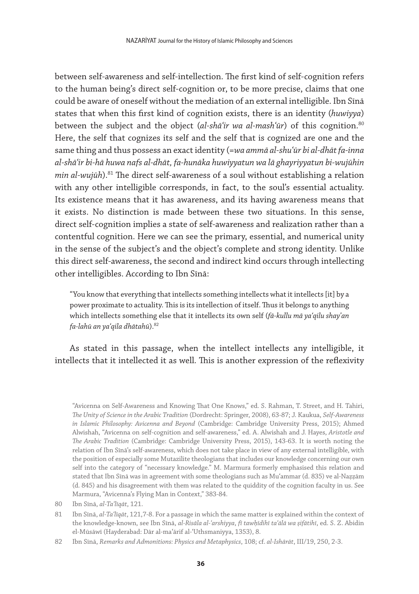between self-awareness and self-intellection. The first kind of self-cognition refers to the human being's direct self-cognition or, to be more precise, claims that one could be aware of oneself without the mediation of an external intelligible. Ibn Sīnā states that when this first kind of cognition exists, there is an identity (*huwiyya*) between the subject and the object (*al-shāʿir wa al-mashʿūr*) of this cognition.80 Here, the self that cognizes its self and the self that is cognized are one and the same thing and thus possess an exact identity (=*wa ammā al-shuʿūr bi al-dhāt fa-inna al-shāʿir bi-hā huwa nafs al-dhāt, fa-hunāka huwiyyatun wa lā ghayriyyatun bi-wujūhin min al-wujūh*).81 The direct self-awareness of a soul without establishing a relation with any other intelligible corresponds, in fact, to the soul's essential actuality. Its existence means that it has awareness, and its having awareness means that it exists. No distinction is made between these two situations. In this sense, direct self-cognition implies a state of self-awareness and realization rather than a contentful cognition. Here we can see the primary, essential, and numerical unity in the sense of the subject's and the object's complete and strong identity. Unlike this direct self-awareness, the second and indirect kind occurs through intellecting other intelligibles. According to Ibn Sīnā:

"You know that everything that intellects something intellects what it intellects [it] by a power proximate to actuality. This is its intellection of itself. Thus it belongs to anything which intellects something else that it intellects its own self (*fā-kullu mā yaʿqilu shayʾan fa-lahū an yaʿqila dhātahū*).82

As stated in this passage, when the intellect intellects any intelligible, it intellects that it intellected it as well. This is another expression of the reflexivity

"Avicenna on Self-Awareness and Knowing That One Knows," ed. S. Rahman, T. Street, and H. Tahiri, *The Unity of Science in the Arabic Tradition* (Dordrecht: Springer, 2008), 63-87; J. Kaukua, *Self-Awareness in Islamic Philosophy: Avicenna and Beyond* (Cambridge: Cambridge University Press, 2015); Ahmed Alwishah, "Avicenna on self-cognition and self-awareness," ed. A. Alwishah and J. Hayes, *Aristotle and The Arabic Tradition* (Cambridge: Cambridge University Press, 2015), 143-63. It is worth noting the relation of Ibn Sīnā's self-awareness, which does not take place in view of any external intelligible, with the position of especially some Mutazilite theologians that includes our knowledge concerning our own self into the category of "necessary knowledge." M. Marmura formerly emphasised this relation and stated that Ibn Sīnā was in agreement with some theologians such as Muʿammar (d. 835) ve al-Naẓẓām (d. 845) and his disagreement with them was related to the quiddity of the cognition faculty in us. See Marmura, "Avicenna's Flying Man in Context," 383-84.

- 81 Ibn Sīnā, *al-Taʿlīqāt*, 121,7-8. For a passage in which the same matter is explained within the context of the knowledge-known, see Ibn Sīnā, *al-Risāla al-ʿarshiyya*, *fī tawḥīdihī taʿālā wa ṣifātihī*, ed. S. Z. Abidin el-Mūsāwī (Hayderabad: Dār al-maʿārif al-ʿUthsmaniyya, 1353), 8.
- 82 Ibn Sīnā, *Remarks and Admonitions: Physics and Metaphysics*, 108; cf. *al-Ishārāt*, III/19, 250, 2-3.

<sup>80</sup> Ibn Sīnā, *al-Taʿlīqāt*, 121.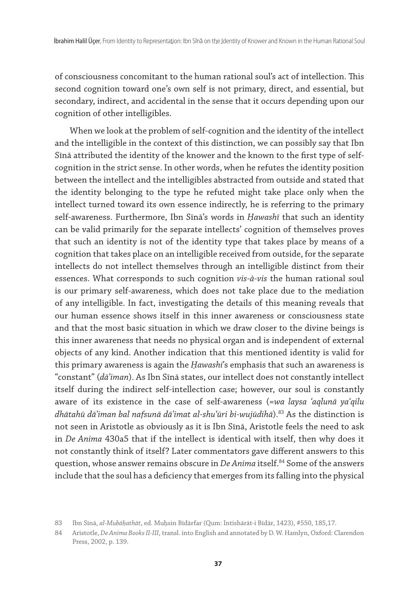of consciousness concomitant to the human rational soul's act of intellection. This second cognition toward one's own self is not primary, direct, and essential, but secondary, indirect, and accidental in the sense that it occurs depending upon our cognition of other intelligibles.

When we look at the problem of self-cognition and the identity of the intellect and the intelligible in the context of this distinction, we can possibly say that Ibn Sīnā attributed the identity of the knower and the known to the first type of selfcognition in the strict sense. In other words, when he refutes the identity position between the intellect and the intelligibles abstracted from outside and stated that the identity belonging to the type he refuted might take place only when the intellect turned toward its own essence indirectly, he is referring to the primary self-awareness. Furthermore, Ibn Sīnā's words in *Ḥawashī* that such an identity can be valid primarily for the separate intellects' cognition of themselves proves that such an identity is not of the identity type that takes place by means of a cognition that takes place on an intelligible received from outside, for the separate intellects do not intellect themselves through an intelligible distinct from their essences. What corresponds to such cognition *vis-à-vis* the human rational soul is our primary self-awareness, which does not take place due to the mediation of any intelligible. In fact, investigating the details of this meaning reveals that our human essence shows itself in this inner awareness or consciousness state and that the most basic situation in which we draw closer to the divine beings is this inner awareness that needs no physical organ and is independent of external objects of any kind. Another indication that this mentioned identity is valid for this primary awareness is again the *Ḥawashi*'s emphasis that such an awareness is "constant" (*dāʾiman*). As Ibn Sīnā states, our intellect does not constantly intellect itself during the indirect self-intellection case; however, our soul is constantly aware of its existence in the case of self-awareness (*=wa laysa ʿaqlunā yaʿqilu dhātahū dāʾiman bal nafsunā dāʾimat al-shuʿūri bi-wujūdihā*).83 As the distinction is not seen in Aristotle as obviously as it is Ibn Sīnā, Aristotle feels the need to ask in *De Anima* 430a5 that if the intellect is identical with itself, then why does it not constantly think of itself? Later commentators gave different answers to this question, whose answer remains obscure in *De Anima* itself.84 Some of the answers include that the soul has a deficiency that emerges from its falling into the physical

<sup>83</sup> Ibn Sīnā, *al-Mubāḥathāt*, ed. Muḥsin Bīdārfar (Qum: Intishārāt-i Bīdār, 1423), #550, 185,17.

<sup>84</sup> Aristotle, *De Anima Books II-III*, transl. into English and annotated by D. W. Hamlyn, Oxford: Clarendon Press, 2002, p. 139.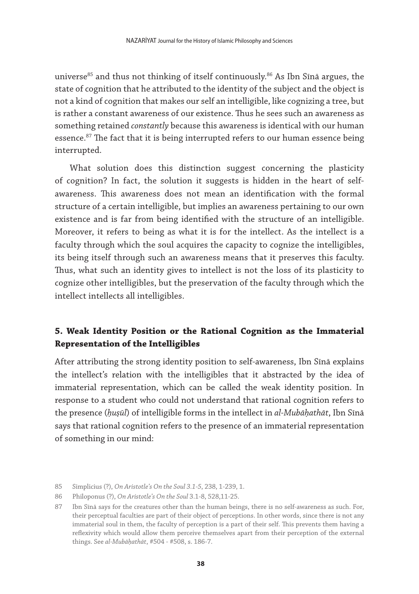universe<sup>85</sup> and thus not thinking of itself continuously.<sup>86</sup> As Ibn Sīnā argues, the state of cognition that he attributed to the identity of the subject and the object is not a kind of cognition that makes our self an intelligible, like cognizing a tree, but is rather a constant awareness of our existence. Thus he sees such an awareness as something retained *constantly* because this awareness is identical with our human essence.<sup>87</sup> The fact that it is being interrupted refers to our human essence being interrupted.

What solution does this distinction suggest concerning the plasticity of cognition? In fact, the solution it suggests is hidden in the heart of selfawareness. This awareness does not mean an identification with the formal structure of a certain intelligible, but implies an awareness pertaining to our own existence and is far from being identified with the structure of an intelligible. Moreover, it refers to being as what it is for the intellect. As the intellect is a faculty through which the soul acquires the capacity to cognize the intelligibles, its being itself through such an awareness means that it preserves this faculty. Thus, what such an identity gives to intellect is not the loss of its plasticity to cognize other intelligibles, but the preservation of the faculty through which the intellect intellects all intelligibles.

# **5. Weak Identity Position or the Rational Cognition as the Immaterial Representation of the Intelligibles**

After attributing the strong identity position to self-awareness, Ibn Sīnā explains the intellect's relation with the intelligibles that it abstracted by the idea of immaterial representation, which can be called the weak identity position. In response to a student who could not understand that rational cognition refers to the presence (*ḥuṣūl*) of intelligible forms in the intellect in *al-Mubāḥathāt*, Ibn Sīnā says that rational cognition refers to the presence of an immaterial representation of something in our mind:

<sup>85</sup> Simplicius (?), *On Aristotle's On the Soul 3.1-5*, 238, 1-239, 1.

<sup>86</sup> Philoponus (?), *On Aristotle's On the Soul* 3.1-8, 528,11-25.

<sup>87</sup> Ibn Sīnā says for the creatures other than the human beings, there is no self-awareness as such. For, their perceptual faculties are part of their object of perceptions. In other words, since there is not any immaterial soul in them, the faculty of perception is a part of their self. This prevents them having a reflexivity which would allow them perceive themselves apart from their perception of the external things. See *al-Mubāḥathāt*, #504 - #508, s. 186-7.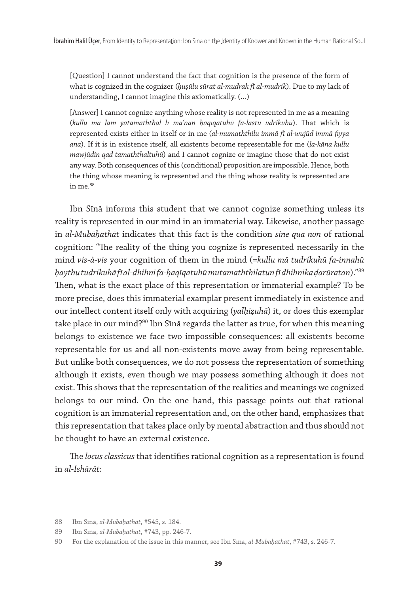[Question] I cannot understand the fact that cognition is the presence of the form of what is cognized in the cognizer (*ḥuṣūlu sūrat al-mudrak fī al-mudrik*). Due to my lack of understanding, I cannot imagine this axiomatically. (…)

[Answer] I cannot cognize anything whose reality is not represented in me as a meaning (*kullu mā lam yatamaththal lī maʿnan ḥaqīqatuhū fa-lastu udrikuhū*). That which is represented exists either in itself or in me (*al-mumaththilu immā fī al-wujūd immā fiyya ana*). If it is in existence itself, all existents become representable for me (*la-kāna kullu mawjūdin qad tamaththaltuhū*) and I cannot cognize or imagine those that do not exist any way. Both consequences of this (conditional) proposition are impossible. Hence, both the thing whose meaning is represented and the thing whose reality is represented are in me.<sup>88</sup>

Ibn Sīnā informs this student that we cannot cognize something unless its reality is represented in our mind in an immaterial way. Likewise, another passage in *al-Mubāḥathāt* indicates that this fact is the condition *sine qua non* of rational cognition: "The reality of the thing you cognize is represented necessarily in the mind *vis-à-vis* your cognition of them in the mind (*=kullu mā tudrikuhū fa-innahū ḥaythu tudrikuhā fī al-dhihni fa-ḥaqīqatuhū mutamaththilatun fī dhihnika ḍarūratan*)."89 Then, what is the exact place of this representation or immaterial example? To be more precise, does this immaterial examplar present immediately in existence and our intellect content itself only with acquiring (*yalḥiẓuhā*) it, or does this exemplar take place in our mind?<sup>90</sup> Ibn Sīnā regards the latter as true, for when this meaning belongs to existence we face two impossible consequences: all existents become representable for us and all non-existents move away from being representable. But unlike both consequences, we do not possess the representation of something although it exists, even though we may possess something although it does not exist. This shows that the representation of the realities and meanings we cognized belongs to our mind. On the one hand, this passage points out that rational cognition is an immaterial representation and, on the other hand, emphasizes that this representation that takes place only by mental abstraction and thus should not be thought to have an external existence.

The *locus classicus* that identifies rational cognition as a representation is found in *al-Ishārāt*:

<sup>88</sup> Ibn Sīnā, *al-Mubāḥathāt*, #545, s. 184.

<sup>89</sup> Ibn Sīnā, *al-Mubāḥathāt*, #743, pp. 246-7.

<sup>90</sup> For the explanation of the issue in this manner, see Ibn Sīnā, *al-Mubāḥathāt*, #743, s. 246-7.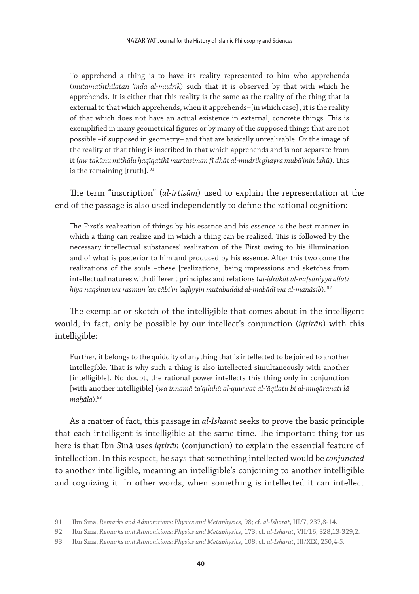To apprehend a thing is to have its reality represented to him who apprehends (*mutamaththilatan ʿinda al-mudrik*) such that it is observed by that with which he apprehends. It is either that this reality is the same as the reality of the thing that is external to that which apprehends, when it apprehends–[in which case] , it is the reality of that which does not have an actual existence in external, concrete things. This is exemplified in many geometrical figures or by many of the supposed things that are not possible –if supposed in geometry– and that are basically unrealizable. Or the image of the reality of that thing is inscribed in that which apprehends and is not separate from it (*aw takūnu mithālu ḥaqīqatihī murtasiman fī dhāt al-mudrik ghayra mubāʾinin lahū*). This is the remaining [truth]. <sup>91</sup>

The term "inscription" (*al-irtisām*) used to explain the representation at the end of the passage is also used independently to define the rational cognition:

The First's realization of things by his essence and his essence is the best manner in which a thing can realize and in which a thing can be realized. This is followed by the necessary intellectual substances' realization of the First owing to his illumination and of what is posterior to him and produced by his essence. After this two come the realizations of the souls –these [realizations] being impressions and sketches from intellectual natures with different principles and relations (*al-idrākāt al-nafsāniyyā allatī hiya naqshun wa rasmun ʿan ṭābiʿin ʿaqliyyin mutabaddid al-mabādī wa al-manāsib*). <sup>92</sup>

The exemplar or sketch of the intelligible that comes about in the intelligent would, in fact, only be possible by our intellect's conjunction (*iqtirān*) with this intelligible:

Further, it belongs to the quiddity of anything that is intellected to be joined to another intellegible. That is why such a thing is also intellected simultaneously with another [intelligible]. No doubt, the rational power intellects this thing only in conjunction [with another intelligible] (*wa innamā taʿqiluhū al-quwwat al-ʿāqilatu bi al-muqāranati lā maḥāla*).93

As a matter of fact, this passage in *al-Ishārāt* seeks to prove the basic principle that each intelligent is intelligible at the same time. The important thing for us here is that Ibn Sīnā uses *iqtirān* (conjunction) to explain the essential feature of intellection. In this respect, he says that something intellected would be *conjuncted* to another intelligible, meaning an intelligible's conjoining to another intelligible and cognizing it. In other words, when something is intellected it can intellect

<sup>91</sup> Ibn Sīnā, *Remarks and Admonitions: Physics and Metaphysics*, 98; cf. *al-Ishārāt*, III/7, 237,8-14.

<sup>92</sup> Ibn Sīnā, *Remarks and Admonitions: Physics and Metaphysics*, 173; cf. *al-Ishārāt*, VII/16, 328,13-329,2.

<sup>93</sup> Ibn Sīnā, *Remarks and Admonitions: Physics and Metaphysics*, 108; cf. *al-Ishārāt*, III/XIX, 250,4-5.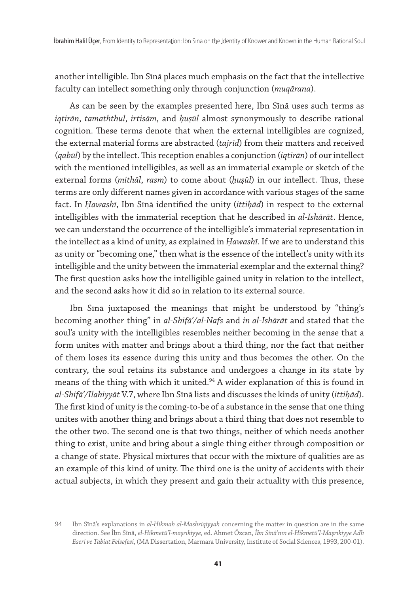another intelligible. Ibn Sīnā places much emphasis on the fact that the intellective faculty can intellect something only through conjunction (*muqārana*).

As can be seen by the examples presented here, Ibn Sīnā uses such terms as *iqtirān*, *tamaththul*, *irtisām*, and *ḥuṣūl* almost synonymously to describe rational cognition. These terms denote that when the external intelligibles are cognized, the external material forms are abstracted (*tajrīd*) from their matters and received (*qabūl*) by the intellect. This reception enables a conjunction (*iqtirān*) of our intellect with the mentioned intelligibles, as well as an immaterial example or sketch of the external forms (*mithāl*, *rasm*) to come about (*ḥuṣūl*) in our intellect. Thus, these terms are only different names given in accordance with various stages of the same fact. In *Ḥawashī*, Ibn Sīnā identified the unity (*ittiḥād*) in respect to the external intelligibles with the immaterial reception that he described in *al-Ishārāt*. Hence, we can understand the occurrence of the intelligible's immaterial representation in the intellect as a kind of unity, as explained in *Ḥawashī*. If we are to understand this as unity or "becoming one," then what is the essence of the intellect's unity with its intelligible and the unity between the immaterial exemplar and the external thing? The first question asks how the intelligible gained unity in relation to the intellect, and the second asks how it did so in relation to its external source.

Ibn Sīnā juxtaposed the meanings that might be understood by "thing's becoming another thing" in *al-Shifāʾ/al-Nafs* and *in al-Ishārāt* and stated that the soul's unity with the intelligibles resembles neither becoming in the sense that a form unites with matter and brings about a third thing, nor the fact that neither of them loses its essence during this unity and thus becomes the other. On the contrary, the soul retains its substance and undergoes a change in its state by means of the thing with which it united.<sup>94</sup> A wider explanation of this is found in *al-Shifāʾ/Ilahiyyāt* V.7, where Ibn Sīnā lists and discusses the kinds of unity (*ittiḥād*). The first kind of unity is the coming-to-be of a substance in the sense that one thing unites with another thing and brings about a third thing that does not resemble to the other two. The second one is that two things, neither of which needs another thing to exist, unite and bring about a single thing either through composition or a change of state. Physical mixtures that occur with the mixture of qualities are as an example of this kind of unity. The third one is the unity of accidents with their actual subjects, in which they present and gain their actuality with this presence,

<sup>94</sup> Ibn Sīnā's explanations in *al-Ḥikmah al-Mashriqiyyah* concerning the matter in question are in the same direction. See İbn Sînâ, *el-Hikmetü'l-maşrıkiyye*, ed. Ahmet Özcan, *İbn Sînâ'nın el-Hikmetü'l-Maşrıkiyye Adlı Eseri ve Tabiat Felsefesi*, (MA Dissertation, Marmara University, Institute of Social Sciences, 1993, 200-01).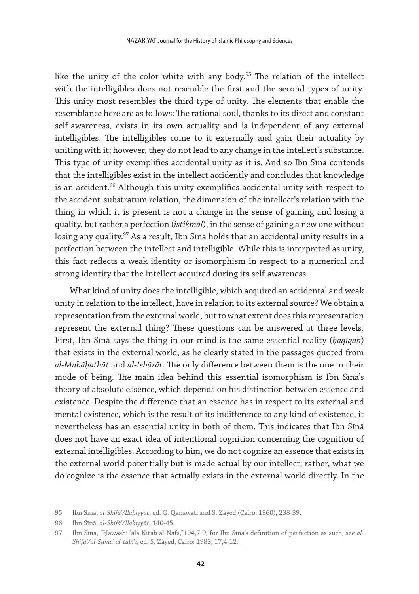like the unity of the color white with any body.<sup>95</sup> The relation of the intellect with the intelligibles does not resemble the first and the second types of unity. This unity most resembles the third type of unity. The elements that enable the resemblance here are as follows: The rational soul, thanks to its direct and constant self-awareness, exists in its own actuality and is independent of any external intelligibles. The intelligibles come to it externally and gain their actuality by uniting with it; however, they do not lead to any change in the intellect's substance. This type of unity exemplifies accidental unity as it is. And so Ibn Sīnā contends that the intelligibles exist in the intellect accidently and concludes that knowledge is an accident.<sup>96</sup> Although this unity exemplifies accidental unity with respect to the accident-substratum relation, the dimension of the intellect's relation with the thing in which it is present is not a change in the sense of gaining and losing a quality, but rather a perfection (*istikmāl*), in the sense of gaining a new one without losing any quality.<sup>97</sup> As a result, Ibn Sīnā holds that an accidental unity results in a perfection between the intellect and intelligible. While this is interpreted as unity, this fact reflects a weak identity or isomorphism in respect to a numerical and strong identity that the intellect acquired during its self-awareness.

What kind of unity does the intelligible, which acquired an accidental and weak unity in relation to the intellect, have in relation to its external source? We obtain a representation from the external world, but to what extent does this representation represent the external thing? These questions can be answered at three levels. First, Ibn Sīnā says the thing in our mind is the same essential reality (*ḥaqīqah*) that exists in the external world, as he clearly stated in the passages quoted from *al-Mubāḥathāt* and *al-Ishārāt*. The only difference between them is the one in their mode of being. The main idea behind this essential isomorphism is Ibn Sīnā's theory of absolute essence, which depends on his distinction between essence and existence. Despite the difference that an essence has in respect to its external and mental existence, which is the result of its indifference to any kind of existence, it nevertheless has an essential unity in both of them. This indicates that Ibn Sīnā does not have an exact idea of intentional cognition concerning the cognition of external intelligibles. According to him, we do not cognize an essence that exists in the external world potentially but is made actual by our intellect; rather, what we do cognize is the essence that actually exists in the external world directly. In the

<sup>95</sup> Ibn Sīnā, *al-Shifāʾ/Ilahiyyāt*, ed. G. Qanawātī and S. Zāyed (Cairo: 1960), 238-39.

<sup>96</sup> Ibn Sīnā, *al-Shifāʾ/Ilahiyyāt*, 140-45.

<sup>97</sup> Ibn Sīnā, "Ḥawāshī ʿalā Kitāb al-Nafs,"104,7-9; for Ibn Sīnā's definition of perfection as such, see *al-Shifāʾ/al-Samā*ʿ *al-tabī*ʿ*ī*, ed. S. Zâyed, Cairo: 1983, 17,4-12.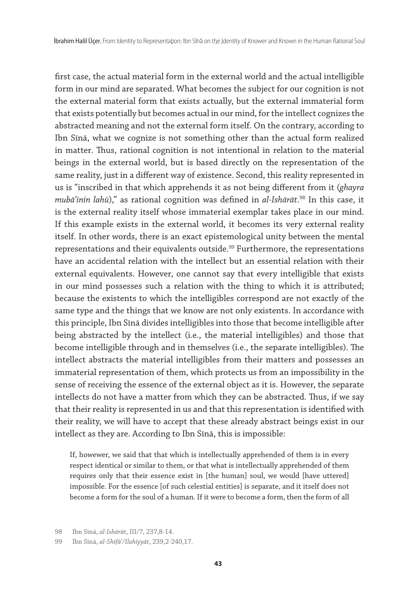first case, the actual material form in the external world and the actual intelligible form in our mind are separated. What becomes the subject for our cognition is not the external material form that exists actually, but the external immaterial form that exists potentially but becomes actual in our mind, for the intellect cognizes the abstracted meaning and not the external form itself. On the contrary, according to Ibn Sīnā, what we cognize is not something other than the actual form realized in matter. Thus, rational cognition is not intentional in relation to the material beings in the external world, but is based directly on the representation of the same reality, just in a different way of existence. Second, this reality represented in us is "inscribed in that which apprehends it as not being different from it (*ghayra mubāʾinin lahū*)," as rational cognition was defined in *al-Ishārāt*. 98 In this case, it is the external reality itself whose immaterial exemplar takes place in our mind. If this example exists in the external world, it becomes its very external reality itself. In other words, there is an exact epistemological unity between the mental representations and their equivalents outside.<sup>99</sup> Furthermore, the representations have an accidental relation with the intellect but an essential relation with their external equivalents. However, one cannot say that every intelligible that exists in our mind possesses such a relation with the thing to which it is attributed; because the existents to which the intelligibles correspond are not exactly of the same type and the things that we know are not only existents. In accordance with this principle, Ibn Sīnā divides intelligibles into those that become intelligible after being abstracted by the intellect (i.e., the material intelligibles) and those that become intelligible through and in themselves (i.e., the separate intelligibles). The intellect abstracts the material intelligibles from their matters and possesses an immaterial representation of them, which protects us from an impossibility in the sense of receiving the essence of the external object as it is. However, the separate intellects do not have a matter from which they can be abstracted. Thus, if we say that their reality is represented in us and that this representation is identified with their reality, we will have to accept that these already abstract beings exist in our intellect as they are. According to Ibn Sīnā, this is impossible:

If, howewer, we said that that which is intellectually apprehended of them is in every respect identical or similar to them, or that what is intellectually apprehended of them requires only that their essence exist in [the human] soul, we would [have uttered] impossible. For the essence [of such celestial entities] is separate, and it itself does not become a form for the soul of a human. If it were to become a form, then the form of all

<sup>98</sup> Ibn Sīnā, *al-Ishārāt*, III/7, 237,8-14.

<sup>99</sup> Ibn Sīnā, *al-Shifāʾ/Ilahiyyāt*, 239,2-240,17.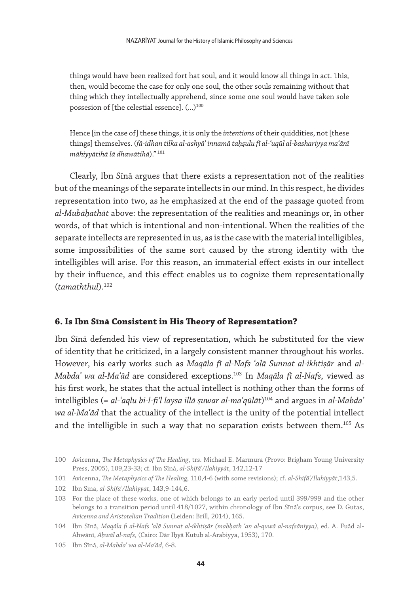things would have been realized fort hat soul, and it would know all things in act. This, then, would become the case for only one soul, the other souls remaining without that thing which they intellectually apprehend, since some one soul would have taken sole possesion of [the celestial essence].  $(...)$ <sup>100</sup>

Hence [in the case of] these things, it is only the *intentions* of their quiddities, not [these things] themselves. (*fā-idhan tilka al-ashyāʾ innamā taḥṣulu fī al-ʿuqūl al-bashariyya maʿānī māhiyyātihā lā dhawātihā*)." <sup>101</sup>

Clearly, Ibn Sīnā argues that there exists a representation not of the realities but of the meanings of the separate intellects in our mind. In this respect, he divides representation into two, as he emphasized at the end of the passage quoted from *al-Mubāḥathāt* above: the representation of the realities and meanings or, in other words, of that which is intentional and non-intentional. When the realities of the separate intellects are represented in us, as is the case with the material intelligibles, some impossibilities of the same sort caused by the strong identity with the intelligibles will arise. For this reason, an immaterial effect exists in our intellect by their influence, and this effect enables us to cognize them representationally (*tamaththul*).102

#### **6. Is Ibn Sīnā Consistent in His Theory of Representation?**

Ibn Sīnā defended his view of representation, which he substituted for the view of identity that he criticized, in a largely consistent manner throughout his works. However, his early works such as *Maqāla fī al-Nafs ʿalā Sunnat al-ikhtiṣār* and *al-Mabdaʾ wa al-Maʿād* are considered exceptions.103 In *Maqāla fī al-Nafs*, viewed as his first work, he states that the actual intellect is nothing other than the forms of intelligibles (= *al-ʿaqlu bi-l-fiʿl laysa illā ṣuwar al-maʿqūlāt*) 104 and argues in *al-Mabdaʾ wa al-Maʿād* that the actuality of the intellect is the unity of the potential intellect and the intelligible in such a way that no separation exists between them.<sup>105</sup> As

102 Ibn Sīnā, *al-Shifāʾ/Ilahiyyāt*, 143,9-144,6.

<sup>100</sup> Avicenna, *The Metaphysics of The Healing*, trs. Michael E. Marmura (Provo: Brigham Young University Press, 2005), 109,23-33; cf. Ibn Sīnā, *al-Shifāʾ/Ilahiyyāt*, 142,12-17

<sup>101</sup> Avicenna, *The Metaphysics of The Healing*, 110,4-6 (with some revisions); cf. *al-Shifāʾ/Ilahiyyāt*,143,5.

<sup>103</sup> For the place of these works, one of which belongs to an early period until 399/999 and the other belongs to a transition period until 418/1027, within chronology of Ibn Sīnā's corpus, see D. Gutas, *Avicenna and Aristotelian Tradition* (Leiden: Brill, 2014), 165.

<sup>104</sup> Ibn Sīnā, *Maqāla fi al-Nafs ʿalā Sunnat al-ikhtiṣār (mabḥath ʿan al-quwā al-nafsāniyya)*, ed. A. Fuād al-Ahwānī, *Aḥwāl al-nafs*, (Cairo: Dār Iḥyā Kutub al-Arabiyya, 1953), 170.

<sup>105</sup> Ibn Sīnā, *al-Mabdaʾ wa al-Maʿād*, 6-8.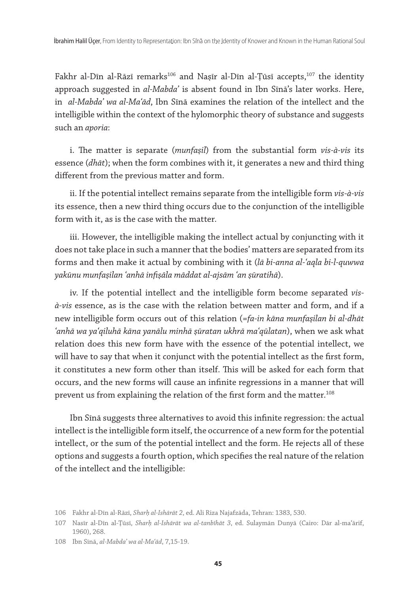Fakhr al-Dīn al-Rāzī remarks<sup>106</sup> and Nașīr al-Dīn al-Țūsī accepts,<sup>107</sup> the identity approach suggested in *al-Mabdaʾ* is absent found in Ibn Sīnā's later works. Here, in *al-Mabdaʾ wa al-Maʿād*, Ibn Sīnā examines the relation of the intellect and the intelligible within the context of the hylomorphic theory of substance and suggests such an *aporia*:

i. The matter is separate (*munfaṣil*) from the substantial form *vis-à-vis* its essence (*dhāt*); when the form combines with it, it generates a new and third thing different from the previous matter and form.

ii. If the potential intellect remains separate from the intelligible form *vis-à-vis* its essence, then a new third thing occurs due to the conjunction of the intelligible form with it, as is the case with the matter.

iii. However, the intelligible making the intellect actual by conjuncting with it does not take place in such a manner that the bodies' matters are separated from its forms and then make it actual by combining with it (*lā bi-anna al-ʿaqla bi-l-quwwa yakūnu munfaṣilan ʿanhā infiṣāla māddat al-ajsām ʿan ṣūratihā*).

iv. If the potential intellect and the intelligible form become separated *visà-vis* essence, as is the case with the relation between matter and form, and if a new intelligible form occurs out of this relation (=*fa-in kāna munfaṣilan bi al-dhāt ʿanhā wa yaʿqiluhā kāna yanālu minhā ṣūratan ukhrā maʿqūlatan*), when we ask what relation does this new form have with the essence of the potential intellect, we will have to say that when it conjunct with the potential intellect as the first form, it constitutes a new form other than itself. This will be asked for each form that occurs, and the new forms will cause an infinite regressions in a manner that will prevent us from explaining the relation of the first form and the matter.<sup>108</sup>

Ibn Sīnā suggests three alternatives to avoid this infinite regression: the actual intellect is the intelligible form itself, the occurrence of a new form for the potential intellect, or the sum of the potential intellect and the form. He rejects all of these options and suggests a fourth option, which specifies the real nature of the relation of the intellect and the intelligible:

<sup>106</sup> Fakhr al-Dīn al-Rāzī, *Sharḥ al-Ishārāt 2*, ed. Ali Riza Najafzāda, Tehran: 1383, 530.

<sup>107</sup> Nasīr al-Dīn al-Ṭūsī, *Sharḥ al-Ishārāt wa al-tanbīhāt 3*, ed. Sulaymān Dunyā (Cairo: Dār al-maʿārif, 1960), 268.

<sup>108</sup> Ibn Sīnā, *al-Mabdaʾ wa al-Maʿād*, 7,15-19.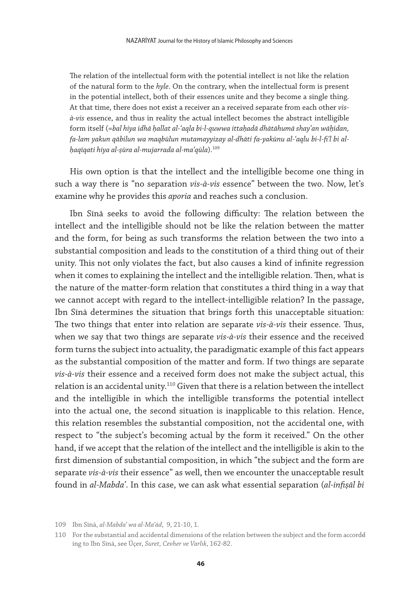The relation of the intellectual form with the potential intellect is not like the relation of the natural form to the *hyle*. On the contrary, when the intellectual form is present in the potential intellect, both of their essences unite and they become a single thing. At that time, there does not exist a receiver an a received separate from each other *visà-vis* essence, and thus in reality the actual intellect becomes the abstract intelligible form itself (=*bal hiya idhā ḥallat al-ʿaqla bi-l-quwwa ittaḥadā dhātāhumā shayʾan wāḥidan, fa-lam yakun qābilun wa maqbūlun mutamayyizay al-dhāti fa-yakūnu al-ʿaqlu bi-l-fiʿl bi alḥaqīqati hiya al-ṣūra al-mujarrada al-maʿqūla*).109

His own option is that the intellect and the intelligible become one thing in such a way there is "no separation *vis-à-vis* essence" between the two. Now, let's examine why he provides this *aporia* and reaches such a conclusion.

Ibn Sīnā seeks to avoid the following difficulty: The relation between the intellect and the intelligible should not be like the relation between the matter and the form, for being as such transforms the relation between the two into a substantial composition and leads to the constitution of a third thing out of their unity. This not only violates the fact, but also causes a kind of infinite regression when it comes to explaining the intellect and the intelligible relation. Then, what is the nature of the matter-form relation that constitutes a third thing in a way that we cannot accept with regard to the intellect-intelligible relation? In the passage, Ibn Sīnā determines the situation that brings forth this unacceptable situation: The two things that enter into relation are separate *vis-à-vis* their essence. Thus, when we say that two things are separate *vis-à-vis* their essence and the received form turns the subject into actuality, the paradigmatic example of this fact appears as the substantial composition of the matter and form. If two things are separate *vis-à-vis* their essence and a received form does not make the subject actual, this relation is an accidental unity.<sup>110</sup> Given that there is a relation between the intellect and the intelligible in which the intelligible transforms the potential intellect into the actual one, the second situation is inapplicable to this relation. Hence, this relation resembles the substantial composition, not the accidental one, with respect to "the subject's becoming actual by the form it received." On the other hand, if we accept that the relation of the intellect and the intelligible is akin to the first dimension of substantial composition, in which "the subject and the form are separate *vis-à-vis* their essence" as well, then we encounter the unacceptable result found in *al-Mabdaʾ*. In this case, we can ask what essential separation (*al-infiṣāl bi* 

<sup>109</sup> Ibn Sīnā, *al-Mabdaʾ wa al-Maʿād*, 9, 21-10, 1.

<sup>110</sup> For the substantial and accidental dimensions of the relation between the subject and the form accordd ing to Ibn Sīnā, see Üçer, *Suret, Cevher ve Varlık*, 162-82.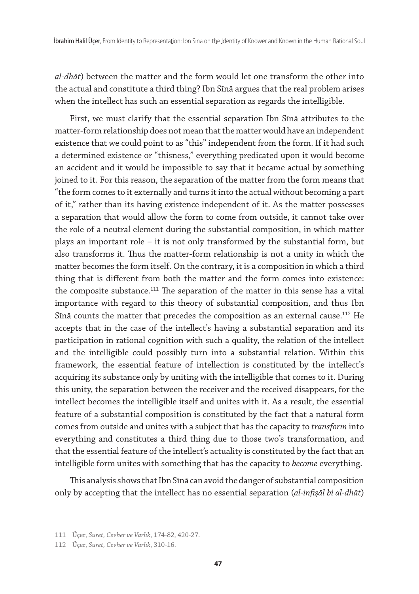*al-dhāt*) between the matter and the form would let one transform the other into the actual and constitute a third thing? Ibn Sīnā argues that the real problem arises when the intellect has such an essential separation as regards the intelligible.

First, we must clarify that the essential separation Ibn Sīnā attributes to the matter-form relationship does not mean that the matter would have an independent existence that we could point to as "this" independent from the form. If it had such a determined existence or "thisness," everything predicated upon it would become an accident and it would be impossible to say that it became actual by something joined to it. For this reason, the separation of the matter from the form means that "the form comes to it externally and turns it into the actual without becoming a part of it," rather than its having existence independent of it. As the matter possesses a separation that would allow the form to come from outside, it cannot take over the role of a neutral element during the substantial composition, in which matter plays an important role – it is not only transformed by the substantial form, but also transforms it. Thus the matter-form relationship is not a unity in which the matter becomes the form itself. On the contrary, it is a composition in which a third thing that is different from both the matter and the form comes into existence: the composite substance.<sup>111</sup> The separation of the matter in this sense has a vital importance with regard to this theory of substantial composition, and thus Ibn Sinā counts the matter that precedes the composition as an external cause.<sup>112</sup> He accepts that in the case of the intellect's having a substantial separation and its participation in rational cognition with such a quality, the relation of the intellect and the intelligible could possibly turn into a substantial relation. Within this framework, the essential feature of intellection is constituted by the intellect's acquiring its substance only by uniting with the intelligible that comes to it. During this unity, the separation between the receiver and the received disappears, for the intellect becomes the intelligible itself and unites with it. As a result, the essential feature of a substantial composition is constituted by the fact that a natural form comes from outside and unites with a subject that has the capacity to *transform* into everything and constitutes a third thing due to those two's transformation, and that the essential feature of the intellect's actuality is constituted by the fact that an intelligible form unites with something that has the capacity to *become* everything.

This analysis shows that Ibn Sīnā can avoid the danger of substantial composition only by accepting that the intellect has no essential separation (*al-infiṣāl bi al-dhāt*)

<sup>111</sup> Üçer, *Suret, Cevher ve Varlık*, 174-82, 420-27.

<sup>112</sup> Üçer, *Suret, Cevher ve Varlık*, 310-16.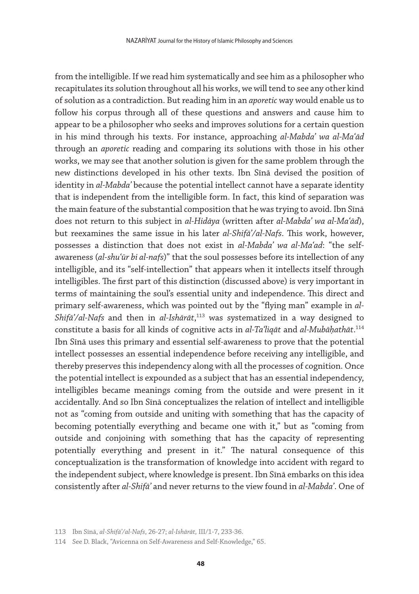from the intelligible. If we read him systematically and see him as a philosopher who recapitulates its solution throughout all his works, we will tend to see any other kind of solution as a contradiction. But reading him in an *aporetic* way would enable us to follow his corpus through all of these questions and answers and cause him to appear to be a philosopher who seeks and improves solutions for a certain question in his mind through his texts. For instance, approaching *al-Mabdaʾ wa al-Maʿād* through an *aporetic* reading and comparing its solutions with those in his other works, we may see that another solution is given for the same problem through the new distinctions developed in his other texts. Ibn Sīnā devised the position of identity in *al-Mabdaʾ* because the potential intellect cannot have a separate identity that is independent from the intelligible form. In fact, this kind of separation was the main feature of the substantial composition that he was trying to avoid. Ibn Sīnā does not return to this subject in *al-Hidāya* (written after *al-Mabdaʾ wa al-Maʿād*), but reexamines the same issue in his later *al-Shifāʾ/al-Nafs*. This work, however, possesses a distinction that does not exist in *al-Mabdaʾ wa al-Maʿad*: "the selfawareness (*al-shuʿūr bi al-nafs*)" that the soul possesses before its intellection of any intelligible, and its "self-intellection" that appears when it intellects itself through intelligibles. The first part of this distinction (discussed above) is very important in terms of maintaining the soul's essential unity and independence. This direct and primary self-awareness, which was pointed out by the "flying man" example in *al-Shifāʾ/al-Nafs* and then in *al-Ishārāt*, 113 was systematized in a way designed to constitute a basis for all kinds of cognitive acts in *al-Taʿliqāt* and *al-Mubāḥathāt*. 114 Ibn Sīnā uses this primary and essential self-awareness to prove that the potential intellect possesses an essential independence before receiving any intelligible, and thereby preserves this independency along with all the processes of cognition. Once the potential intellect is expounded as a subject that has an essential independency, intelligibles became meanings coming from the outside and were present in it accidentally. And so Ibn Sīnā conceptualizes the relation of intellect and intelligible not as "coming from outside and uniting with something that has the capacity of becoming potentially everything and became one with it," but as "coming from outside and conjoining with something that has the capacity of representing potentially everything and present in it." The natural consequence of this conceptualization is the transformation of knowledge into accident with regard to the independent subject, where knowledge is present. Ibn Sīnā embarks on this idea consistently after *al-Shifāʾ* and never returns to the view found in *al-Mabdaʾ*. One of

<sup>113</sup> Ibn Sīnā, *al-Shifāʾ/al-Nafs*, 26-27; *al-Ishārāt,* III/1-7, 233-36.

<sup>114</sup> See D. Black, "Avicenna on Self-Awareness and Self-Knowledge," 65.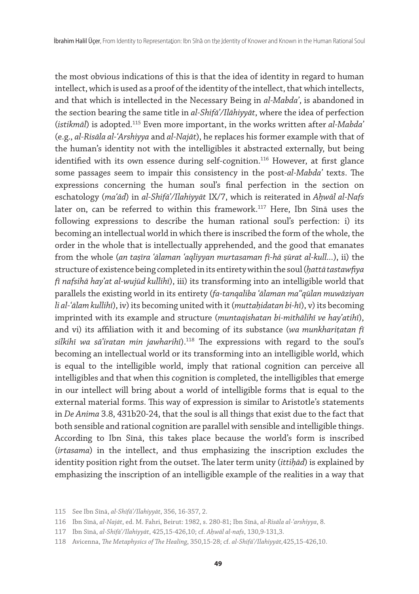the most obvious indications of this is that the idea of identity in regard to human intellect, which is used as a proof of the identity of the intellect, that which intellects, and that which is intellected in the Necessary Being in *al-Mabdaʾ*, is abandoned in the section bearing the same title in *al-Shifāʾ/Ilāhiyyāt*, where the idea of perfection (*istikmāl*) is adopted.115 Even more important, in the works written after *al-Mabdaʾ* (e.g., *al-Risāla al-ʿArshiyya* and *al-Najāt*), he replaces his former example with that of the human's identity not with the intelligibles it abstracted externally, but being identified with its own essence during self-cognition.<sup>116</sup> However, at first glance some passages seem to impair this consistency in the post-*al-Mabdaʾ* texts. The expressions concerning the human soul's final perfection in the section on eschatology (*maʿād*) in *al-Shifāʾ/Ilahiyyāt* IX/7, which is reiterated in *Aḥwāl al-Nafs* later on, can be referred to within this framework.<sup>117</sup> Here, Ibn Sīnā uses the following expressions to describe the human rational soul's perfection: i) its becoming an intellectual world in which there is inscribed the form of the whole, the order in the whole that is intellectually apprehended, and the good that emanates from the whole (*an taṣīra ʿālaman ʿaqliyyan murtasaman fī-hā ṣūrat al-kull...*), ii) the structure of existence being completed in its entirety within the soul (*ḥattā tastawfiya fī nafsihā hayʾat al-wujūd kullihī*), iii) its transforming into an intelligible world that parallels the existing world in its entirety (*fa-tanqaliba ʿālaman ma'ʿqūlan muwāziyan li al-ʿālam kullihī*), iv) its becoming united with it (*muttaḥidatan bi-hī*), v) its becoming imprinted with its example and structure (*muntaqishatan bi-mithālihī ve hayʾatihī*), and vi) its affiliation with it and becoming of its substance (*wa munkhariṭatan fī silkihī wa sāʾiratan min jawharihī*).118 The expressions with regard to the soul's becoming an intellectual world or its transforming into an intelligible world, which is equal to the intelligible world, imply that rational cognition can perceive all intelligibles and that when this cognition is completed, the intelligibles that emerge in our intellect will bring about a world of intelligible forms that is equal to the external material forms. This way of expression is similar to Aristotle's statements in *De Anima* 3.8, 431b20-24, that the soul is all things that exist due to the fact that both sensible and rational cognition are parallel with sensible and intelligible things. According to Ibn Sīnā, this takes place because the world's form is inscribed (*irtasama*) in the intellect, and thus emphasizing the inscription excludes the identity position right from the outset. The later term unity (*ittiḥād*) is explained by emphasizing the inscription of an intelligible example of the realities in a way that

<sup>115</sup> See Ibn Sīnā, *al-Shifāʾ/Ilahiyyāt*, 356, 16-357, 2.

<sup>116</sup> Ibn Sīnā, *al-Najāt*, ed. M. Fahri, Beirut: 1982, s. 280-81; Ibn Sīnā, *al-Risāla al-ʿarshiyya*, 8.

<sup>117</sup> Ibn Sīnā, *al-Shifāʾ/Ilahiyyāt*, 425,15-426,10; cf. *Aḥwāl al-nafs*, 130,9-131,3.

<sup>118</sup> Avicenna, *The Metaphysics of The Healing*, 350,15-28; cf. *al-Shifāʾ/Ilahiyyāt,*425,15-426,10.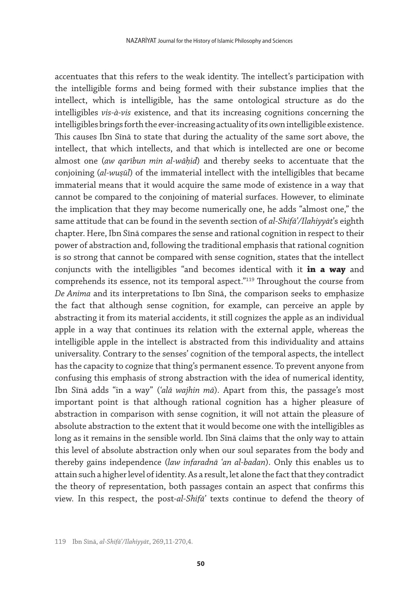accentuates that this refers to the weak identity. The intellect's participation with the intelligible forms and being formed with their substance implies that the intellect, which is intelligible, has the same ontological structure as do the intelligibles *vis-à-vis* existence, and that its increasing cognitions concerning the intelligibles brings forth the ever-increasing actuality of its own intelligible existence. This causes Ibn Sīnā to state that during the actuality of the same sort above, the intellect, that which intellects, and that which is intellected are one or become almost one (*aw qarībun min al-wāḥid*) and thereby seeks to accentuate that the conjoining (*al-wuṣūl*) of the immaterial intellect with the intelligibles that became immaterial means that it would acquire the same mode of existence in a way that cannot be compared to the conjoining of material surfaces. However, to eliminate the implication that they may become numerically one, he adds "almost one," the same attitude that can be found in the seventh section of *al-Shifāʾ/Ilahiyyāt*'s eighth chapter. Here, Ibn Sīnā compares the sense and rational cognition in respect to their power of abstraction and, following the traditional emphasis that rational cognition is so strong that cannot be compared with sense cognition, states that the intellect conjuncts with the intelligibles "and becomes identical with it **in a way** and comprehends its essence, not its temporal aspect." $^{119}$  Throughout the course from *De Anima* and its interpretations to Ibn Sīnā, the comparison seeks to emphasize the fact that although sense cognition, for example, can perceive an apple by abstracting it from its material accidents, it still cognizes the apple as an individual apple in a way that continues its relation with the external apple, whereas the intelligible apple in the intellect is abstracted from this individuality and attains universality. Contrary to the senses' cognition of the temporal aspects, the intellect has the capacity to cognize that thing's permanent essence. To prevent anyone from confusing this emphasis of strong abstraction with the idea of numerical identity, Ibn Sīnā adds "in a way" (*ʿalā wajhin mā*). Apart from this, the passage's most important point is that although rational cognition has a higher pleasure of abstraction in comparison with sense cognition, it will not attain the pleasure of absolute abstraction to the extent that it would become one with the intelligibles as long as it remains in the sensible world. Ibn Sīnā claims that the only way to attain this level of absolute abstraction only when our soul separates from the body and thereby gains independence (*law infaradnā ʿan al-badan*). Only this enables us to attain such a higher level of identity. As a result, let alone the fact that they contradict the theory of representation, both passages contain an aspect that confirms this view. In this respect, the post-*al-Shifāʾ* texts continue to defend the theory of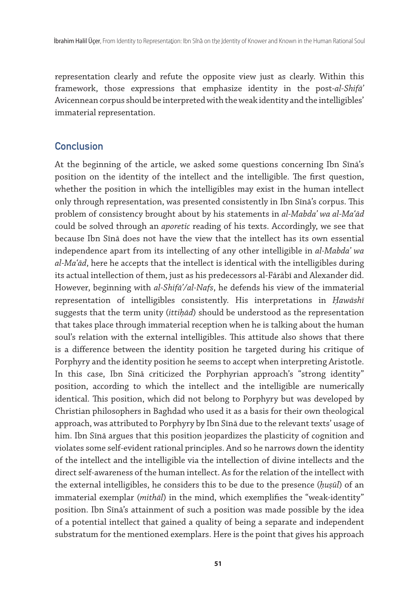representation clearly and refute the opposite view just as clearly. Within this framework, those expressions that emphasize identity in the post-*al-Shifāʾ*  Avicennean corpus should be interpreted with the weak identity and the intelligibles' immaterial representation.

# **Conclusion**

At the beginning of the article, we asked some questions concerning Ibn Sīnā's position on the identity of the intellect and the intelligible. The first question, whether the position in which the intelligibles may exist in the human intellect only through representation, was presented consistently in Ibn Sīnā's corpus. This problem of consistency brought about by his statements in *al-Mabdaʾ wa al-Maʿād* could be solved through an *aporetic* reading of his texts. Accordingly, we see that because Ibn Sīnā does not have the view that the intellect has its own essential independence apart from its intellecting of any other intelligible in *al-Mabdaʾ wa al-Maʿād*, here he accepts that the intellect is identical with the intelligibles during its actual intellection of them, just as his predecessors al-Fārābī and Alexander did. However, beginning with *al-Shifāʾ/al-Nafs*, he defends his view of the immaterial representation of intelligibles consistently. His interpretations in *Ḥawāshī* suggests that the term unity (*ittiḥād*) should be understood as the representation that takes place through immaterial reception when he is talking about the human soul's relation with the external intelligibles. This attitude also shows that there is a difference between the identity position he targeted during his critique of Porphyry and the identity position he seems to accept when interpreting Aristotle. In this case, Ibn Sīnā criticized the Porphyrian approach's "strong identity" position, according to which the intellect and the intelligible are numerically identical. This position, which did not belong to Porphyry but was developed by Christian philosophers in Baghdad who used it as a basis for their own theological approach, was attributed to Porphyry by Ibn Sīnā due to the relevant texts' usage of him. Ibn Sīnā argues that this position jeopardizes the plasticity of cognition and violates some self-evident rational principles. And so he narrows down the identity of the intellect and the intelligible via the intellection of divine intellects and the direct self-awareness of the human intellect. As for the relation of the intellect with the external intelligibles, he considers this to be due to the presence (*ḥuṣūl*) of an immaterial exemplar (*mithāl*) in the mind, which exemplifies the "weak-identity" position. Ibn Sīnā's attainment of such a position was made possible by the idea of a potential intellect that gained a quality of being a separate and independent substratum for the mentioned exemplars. Here is the point that gives his approach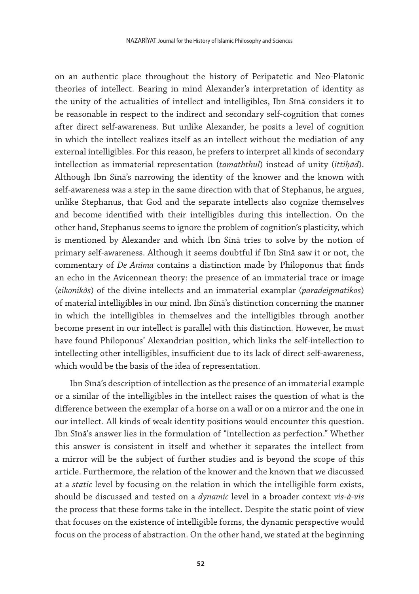on an authentic place throughout the history of Peripatetic and Neo-Platonic theories of intellect. Bearing in mind Alexander's interpretation of identity as the unity of the actualities of intellect and intelligibles, Ibn Sīnā considers it to be reasonable in respect to the indirect and secondary self-cognition that comes after direct self-awareness. But unlike Alexander, he posits a level of cognition in which the intellect realizes itself as an intellect without the mediation of any external intelligibles. For this reason, he prefers to interpret all kinds of secondary intellection as immaterial representation (*tamaththul*) instead of unity (*ittiḥād*). Although Ibn Sīnā's narrowing the identity of the knower and the known with self-awareness was a step in the same direction with that of Stephanus, he argues, unlike Stephanus, that God and the separate intellects also cognize themselves and become identified with their intelligibles during this intellection. On the other hand, Stephanus seems to ignore the problem of cognition's plasticity, which is mentioned by Alexander and which Ibn Sīnā tries to solve by the notion of primary self-awareness. Although it seems doubtful if Ibn Sīnā saw it or not, the commentary of *De Anima* contains a distinction made by Philoponus that finds an echo in the Avicennean theory: the presence of an immaterial trace or image (*eikonikôs*) of the divine intellects and an immaterial examplar (*paradeigmatikos*) of material intelligibles in our mind. Ibn Sīnā's distinction concerning the manner in which the intelligibles in themselves and the intelligibles through another become present in our intellect is parallel with this distinction. However, he must have found Philoponus' Alexandrian position, which links the self-intellection to intellecting other intelligibles, insufficient due to its lack of direct self-awareness, which would be the basis of the idea of representation.

Ibn Sīnā's description of intellection as the presence of an immaterial example or a similar of the intelligibles in the intellect raises the question of what is the difference between the exemplar of a horse on a wall or on a mirror and the one in our intellect. All kinds of weak identity positions would encounter this question. Ibn Sīnā's answer lies in the formulation of "intellection as perfection." Whether this answer is consistent in itself and whether it separates the intellect from a mirror will be the subject of further studies and is beyond the scope of this article. Furthermore, the relation of the knower and the known that we discussed at a *static* level by focusing on the relation in which the intelligible form exists, should be discussed and tested on a *dynamic* level in a broader context *vis-à-vis* the process that these forms take in the intellect. Despite the static point of view that focuses on the existence of intelligible forms, the dynamic perspective would focus on the process of abstraction. On the other hand, we stated at the beginning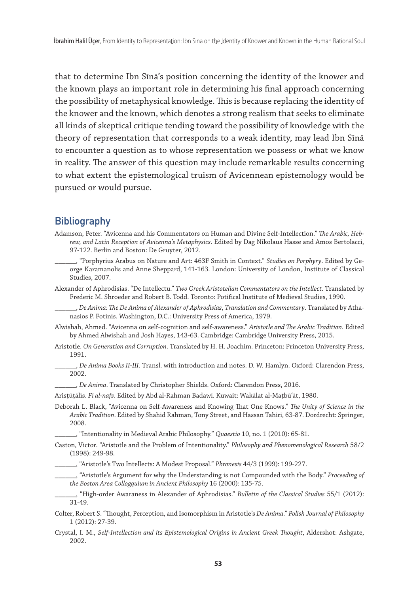that to determine Ibn Sīnā's position concerning the identity of the knower and the known plays an important role in determining his final approach concerning the possibility of metaphysical knowledge. This is because replacing the identity of the knower and the known, which denotes a strong realism that seeks to eliminate all kinds of skeptical critique tending toward the possibility of knowledge with the theory of representation that corresponds to a weak identity, may lead Ibn Sīnā to encounter a question as to whose representation we possess or what we know in reality. The answer of this question may include remarkable results concerning to what extent the epistemological truism of Avicennean epistemology would be pursued or would pursue.

# **Bibliography**

- Adamson, Peter. "Avicenna and his Commentators on Human and Divine Self-Intellection." *The Arabic, Hebrew, and Latin Reception of Avicenna's Metaphysics*. Edited by Dag Nikolaus Hasse and Amos Bertolacci, 97-122. Berlin and Boston: De Gruyter, 2012.
	- \_\_\_\_\_\_, "Porphyrius Arabus on Nature and Art: 463F Smith in Context." *Studies on Porphyry*. Edited by George Karamanolis and Anne Sheppard, 141-163. London: University of London, Institute of Classical Studies, 2007.
- Alexander of Aphrodisias. "De Intellectu." *Two Greek Aristotelian Commentators on the Intellect*. Translated by Frederic M. Shroeder and Robert B. Todd. Toronto: Potifical Institute of Medieval Studies, 1990.
	- \_\_\_\_\_\_, *De Anima: The De Anima of Alexander of Aphrodisias*, *Translation and Commentary*. Translated by Athanasios P. Fotinis. Washington, D.C.: University Press of America, 1979.
- Alwishah, Ahmed. "Avicenna on self-cognition and self-awareness." *Aristotle and The Arabic Tradition*. Edited by Ahmed Alwishah and Josh Hayes, 143-63. Cambridge: Cambridge University Press, 2015.
- Aristotle. *On Generation and Corruption*. Translated by H. H. Joachim. Princeton: Princeton University Press, 1991.
- \_\_\_\_\_\_, *De Anima Books II-III*. Transl. with introduction and notes. D. W. Hamlyn. Oxford: Clarendon Press, 2002.
	- \_\_\_\_\_\_, *De Anima*. Translated by Christopher Shields. Oxford: Clarendon Press, 2016.
- Arisṭūṭālīs. *Fī al-nafs*. Edited by Abd al-Rahman Badawī. Kuwait: Wakālat al-Maṭbūʿāt, 1980.
- Deborah L. Black, "Avicenna on Self-Awareness and Knowing That One Knows." *The Unity of Science in the Arabic Tradition*. Edited by Shahid Rahman, Tony Street, and Hassan Tahiri, 63-87. Dordrecht: Springer, 2008.
	- \_\_\_\_\_\_, "Intentionality in Medieval Arabic Philosophy." *Quaestio* 10, no. 1 (2010): 65-81.
- Caston, Victor. "Aristotle and the Problem of Intentionality." *Philosophy and Phenomenological Research* 58/2 (1998): 249-98.
	- \_\_\_\_\_\_, "Aristotle's Two Intellects: A Modest Proposal." *Phronesis* 44/3 (1999): 199-227.
	- \_\_\_\_\_\_, "Aristotle's Argument for why the Understanding is not Compounded with the Body." *Proceeding of the Boston Area Collogquium in Ancient Philosophy* 16 (2000): 135-75.
- \_\_\_\_\_\_, "High-order Awaraness in Alexander of Aphrodisias." *Bulletin of the Classical Studies* 55/1 (2012): 31-49.
- Colter, Robert S. "Thought, Perception, and Isomorphism in Aristotle's *De Anima*." *Polish Journal of Philosophy* 1 (2012): 27-39.
- Crystal, I. M., *Self-Intellection and its Epistemological Origins in Ancient Greek Thought*, Aldershot: Ashgate, 2002.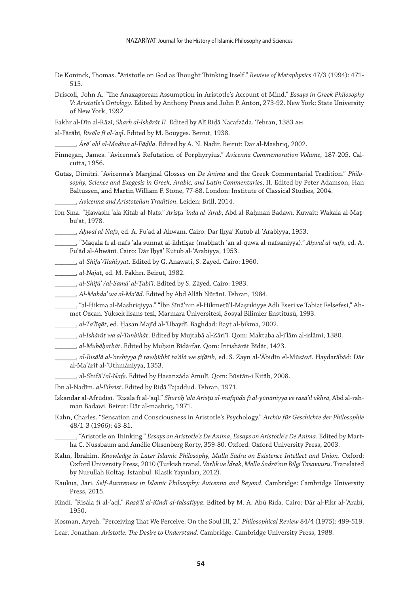- De Koninck, Thomas. "Aristotle on God as Thought Thinking Itself." *Review of Metaphysics* 47/3 (1994): 471- 515.
- Driscoll, John A. "The Anaxagorean Assumption in Aristotle's Account of Mind." *Essays in Greek Philosophy V: Aristotle's Ontology*. Edited by Anthony Preus and John P. Anton, 273-92. New York: State University of New York, 1992.
- Fakhr al-Dīn al-Rāzī, *Sharḥ al-Ishārāt II*. Edited by Alī Riḍā Nacafzāda. Tehran, 1383 ah.
- al-Fārābī, *Risāla fī al-ʿaql*. Edited by M. Bouyges. Beirut, 1938.

\_\_\_\_\_\_, *Ārāʾ ahl al-Madīna al-Fāḍila*. Edited by A. N. Nadir. Beirut: Dar al-Mashriq, 2002.

- Finnegan, James. "Avicenna's Refutation of Porphyryius." *Avicenna Commemoration Volume*, 187-205. Calcutta, 1956.
- Gutas, Dimitri. "Avicenna's Marginal Glosses on *De Anima* and the Greek Commentarial Tradition." *Philosophy, Science and Exegesis in Greek, Arabic, and Latin Commentaries*, II. Edited by Peter Adamson, Han Baltussen, and Martin William F. Stone, 77-88. London: Institute of Classical Studies, 2004.
	- \_\_\_\_\_\_, *Avicenna and Aristotelian Tradition*. Leiden: Brill, 2014.
- Ibn Sīnā. "Ḥawāshī ʿalā Kitāb al-Nafs." *Arisṭū ʿinda al-ʿArab*, Abd al-Raḥmān Badawī. Kuwait: Wakāla al-Maṭbūʿāt, 1978.

\_\_\_\_\_\_, *Aḥwāl al-Nafs*, ed. A. Fuʾād al-Ahwānī. Cairo: Dār Iḥyāʾ Kutub al-ʿArabiyya, 1953.

- \_\_\_\_\_\_, "Maqāla fī al-nafs ʿalā sunnat al-ikhtiṣār (mabḥath ʿan al-quwā al-nafsāniyya)." *Aḥwāl al-nafs*, ed. A. Fuʾād al-Ahwānī. Cairo: Dār Iḥyāʾ Kutub al-ʿArabiyya, 1953.
- \_\_\_\_\_\_, *al-Shifāʾ/Ilāhiyyāt*. Edited by G. Anawati, S. Zāyed. Cairo: 1960.
- \_\_\_\_\_\_, *al-Najāt*, ed. M. Fakhrī. Beirut, 1982.
- \_\_\_\_\_\_, *al-Shifāʾ /al-Samāʿ al-Ṭabīʿī*. Edited by S. Zāyed. Cairo: 1983.
- \_\_\_\_\_\_, *Al-Mabdaʾ wa al-Maʿād*. Edited by Abd Allāh Nūrānī. Tehran, 1984.

\_\_\_\_\_\_, "al-Ḥikma al-Mashriqiyya." "İbn Sînâ'nın el-Hikmetü'l-Maşrıkiyye Adlı Eseri ve Tabiat Felsefesi," Ahmet Özcan. Yüksek lisans tezi, Marmara Üniversitesi, Sosyal Bilimler Enstitüsü, 1993.

- \_\_\_\_\_\_, *al-Taʿlīqāt*, ed. Ḥasan Majīd al-ʿUbaydī. Baghdad: Bayt al-ḥikma, 2002.
- \_\_\_\_\_\_, *al-Ishārāt wa al-Tanbīhāt*. Edited by Mujtabā al-Zāriʿī. Qom: Maktaba al-iʿlām al-islāmī, 1380.
- \_\_\_\_\_\_, *al-Mubāḥathāt*. Edited by Muḥsin Bīdārfar. Qom: Intishārāt Bīdār, 1423.
- \_\_\_\_\_\_, *al-Risālā al-ʿarshiyya fī tawḥīdihī taʿālā we ṣifātih*, ed. S. Zayn al-ʿĀbidīn el-Mūsāwī. Haydarābād: Dār al-Maʿārif al-ʿUthmāniyya, 1353.
- \_\_\_\_\_\_, al-Shifāʾ/*al-Nafs*. Edited by Ḥasanzāda Āmulī. Qom: Būstān-i Kitāb, 2008.
- Ibn al-Nadīm. *al-Fihrist*. Edited by Riḍā Tajaddud. Tehran, 1971.
- Iskandar al-Afrūdīsī. "Risāla fī al-ʿaql." *Shurūḥ ʿalā Arisṭū al-mafqūda fī al-yūnāniyya ve rasāʾil ukhrā*, Abd al-rahman Badawi. Beirut: Dār al-mashriq, 1971.
- Kahn, Charles. "Sensation and Consciousness in Aristotle's Psychology." *Archiv für Geschichte der Philosophie* 48/1-3 (1966): 43-81.

\_\_\_\_\_\_, "Aristotle on Thinking." *Essays on Aristotle's De Anima*, *Essays on Aristotle's De Anima*. Edited by Martha C. Nussbaum and Amélie Oksenberg Rorty, 359-80. Oxford: Oxford University Press, 2003.

- Kalın, İbrahim. *Knowledge in Later Islamic Philosophy, Mulla Sadrā on Existence Intellect and Union*. Oxford: Oxford University Press, 2010 (Turkish transl. *Varlık ve İdrak, Molla Sadrâ'nın Bilgi Tasavvuru*. Translated by Nurullah Koltaş. İstanbul: Klasik Yayınları, 2012).
- Kaukua, Jari. *Self-Awareness in Islamic Philosophy: Avicenna and Beyond*. Cambridge: Cambridge University Press, 2015.
- Kindī. "Risāla fī al-ʿaql." *Rasāʾil al-Kindī al-falsafiyya*. Edited by M. A. Abū Rīda. Cairo: Dār al-Fikr al-ʿArabī, 1950.

Kosman, Aryeh. "Perceiving That We Perceive: On the Soul III, 2." *Philosophical Review* 84/4 (1975): 499-519. Lear, Jonathan. *Aristotle: The Desire to Understand*. Cambridge: Cambridge University Press, 1988.